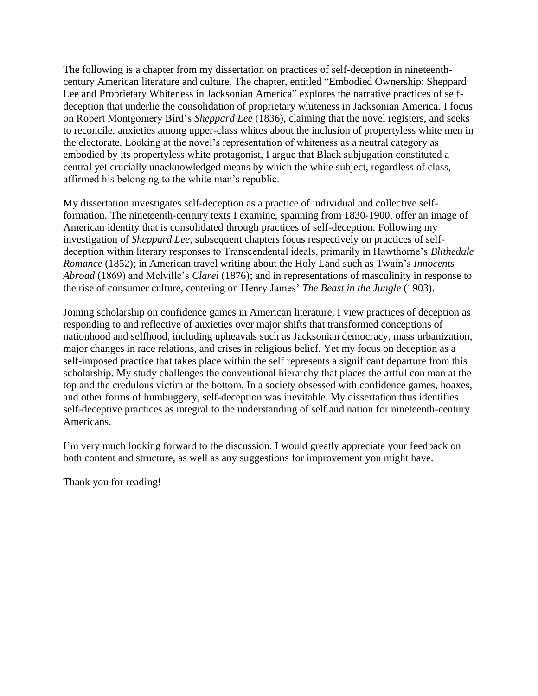The following is a chapter from my dissertation on practices of self-deception in nineteenthcentury American literature and culture. The chapter, entitled "Embodied Ownership: Sheppard Lee and Proprietary Whiteness in Jacksonian America" explores the narrative practices of selfdeception that underlie the consolidation of proprietary whiteness in Jacksonian America. I focus on Robert Montgomery Bird's *Sheppard Lee* (1836), claiming that the novel registers, and seeks to reconcile, anxieties among upper-class whites about the inclusion of propertyless white men in the electorate. Looking at the novel's representation of whiteness as a neutral category as embodied by its propertyless white protagonist, I argue that Black subjugation constituted a central yet crucially unacknowledged means by which the white subject, regardless of class, affirmed his belonging to the white man's republic.

My dissertation investigates self-deception as a practice of individual and collective selfformation. The nineteenth-century texts I examine, spanning from 1830-1900, offer an image of American identity that is consolidated through practices of self-deception. Following my investigation of *Sheppard Lee,* subsequent chapters focus respectively on practices of selfdeception within literary responses to Transcendental ideals, primarily in Hawthorne's *Blithedale Romance* (1852); in American travel writing about the Holy Land such as Twain's *Innocents Abroad* (1869) and Melville's *Clarel* (1876); and in representations of masculinity in response to the rise of consumer culture, centering on Henry James' *The Beast in the Jungle* (1903).

Joining scholarship on confidence games in American literature, I view practices of deception as responding to and reflective of anxieties over major shifts that transformed conceptions of nationhood and selfhood, including upheavals such as Jacksonian democracy, mass urbanization, major changes in race relations, and crises in religious belief. Yet my focus on deception as a self-imposed practice that takes place within the self represents a significant departure from this scholarship. My study challenges the conventional hierarchy that places the artful con man at the top and the credulous victim at the bottom. In a society obsessed with confidence games, hoaxes, and other forms of humbuggery, self-deception was inevitable. My dissertation thus identifies self-deceptive practices as integral to the understanding of self and nation for nineteenth-century Americans.

I'm very much looking forward to the discussion. I would greatly appreciate your feedback on both content and structure, as well as any suggestions for improvement you might have.

Thank you for reading!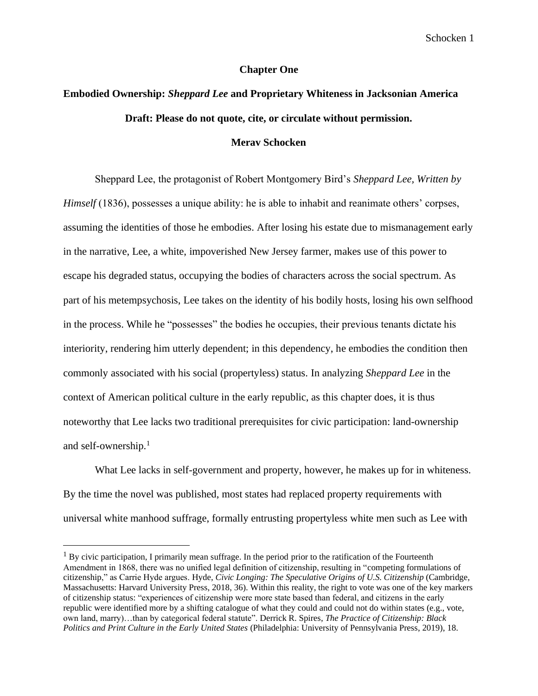### **Chapter One**

# **Embodied Ownership:** *Sheppard Lee* **and Proprietary Whiteness in Jacksonian America Draft: Please do not quote, cite, or circulate without permission.**

# **Merav Schocken**

Sheppard Lee, the protagonist of Robert Montgomery Bird's *Sheppard Lee, Written by Himself* (1836), possesses a unique ability: he is able to inhabit and reanimate others' corpses, assuming the identities of those he embodies. After losing his estate due to mismanagement early in the narrative, Lee, a white, impoverished New Jersey farmer, makes use of this power to escape his degraded status, occupying the bodies of characters across the social spectrum. As part of his metempsychosis, Lee takes on the identity of his bodily hosts, losing his own selfhood in the process. While he "possesses" the bodies he occupies, their previous tenants dictate his interiority, rendering him utterly dependent; in this dependency, he embodies the condition then commonly associated with his social (propertyless) status. In analyzing *Sheppard Lee* in the context of American political culture in the early republic, as this chapter does, it is thus noteworthy that Lee lacks two traditional prerequisites for civic participation: land-ownership and self-ownership.<sup>1</sup>

What Lee lacks in self-government and property, however, he makes up for in whiteness. By the time the novel was published, most states had replaced property requirements with universal white manhood suffrage, formally entrusting propertyless white men such as Lee with

 $1$  By civic participation, I primarily mean suffrage. In the period prior to the ratification of the Fourteenth Amendment in 1868, there was no unified legal definition of citizenship, resulting in "competing formulations of citizenship," as Carrie Hyde argues. Hyde, *Civic Longing: The Speculative Origins of U.S. Citizenship* (Cambridge, Massachusetts: Harvard University Press, 2018, 36). Within this reality, the right to vote was one of the key markers of citizenship status: "experiences of citizenship were more state based than federal, and citizens in the early republic were identified more by a shifting catalogue of what they could and could not do within states (e.g., vote, own land, marry)…than by categorical federal statute". Derrick R. Spires, *The Practice of Citizenship: Black Politics and Print Culture in the Early United States* (Philadelphia: University of Pennsylvania Press, 2019), 18.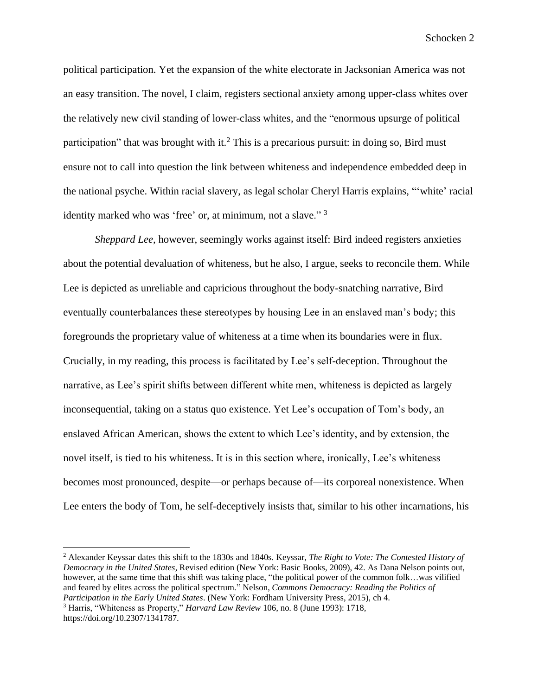political participation. Yet the expansion of the white electorate in Jacksonian America was not an easy transition. The novel, I claim, registers sectional anxiety among upper-class whites over the relatively new civil standing of lower-class whites, and the "enormous upsurge of political participation" that was brought with it.<sup>2</sup> This is a precarious pursuit: in doing so, Bird must ensure not to call into question the link between whiteness and independence embedded deep in the national psyche. Within racial slavery, as legal scholar Cheryl Harris explains, "'white' racial identity marked who was 'free' or, at minimum, not a slave." <sup>3</sup>

*Sheppard Lee*, however, seemingly works against itself: Bird indeed registers anxieties about the potential devaluation of whiteness, but he also, I argue, seeks to reconcile them. While Lee is depicted as unreliable and capricious throughout the body-snatching narrative, Bird eventually counterbalances these stereotypes by housing Lee in an enslaved man's body; this foregrounds the proprietary value of whiteness at a time when its boundaries were in flux. Crucially, in my reading, this process is facilitated by Lee's self-deception. Throughout the narrative, as Lee's spirit shifts between different white men, whiteness is depicted as largely inconsequential, taking on a status quo existence. Yet Lee's occupation of Tom's body, an enslaved African American, shows the extent to which Lee's identity, and by extension, the novel itself, is tied to his whiteness. It is in this section where, ironically, Lee's whiteness becomes most pronounced, despite—or perhaps because of—its corporeal nonexistence. When Lee enters the body of Tom, he self-deceptively insists that, similar to his other incarnations, his

<sup>2</sup> Alexander Keyssar dates this shift to the 1830s and 1840s. Keyssar, *The Right to Vote: The Contested History of Democracy in the United States*, Revised edition (New York: Basic Books, 2009), 42. As Dana Nelson points out, however, at the same time that this shift was taking place, "the political power of the common folk...was vilified and feared by elites across the political spectrum." Nelson, *Commons Democracy: Reading the Politics of Participation in the Early United States*. (New York: Fordham University Press, 2015), ch 4.

<sup>3</sup> Harris, "Whiteness as Property," *Harvard Law Review* 106, no. 8 (June 1993): 1718, https://doi.org/10.2307/1341787.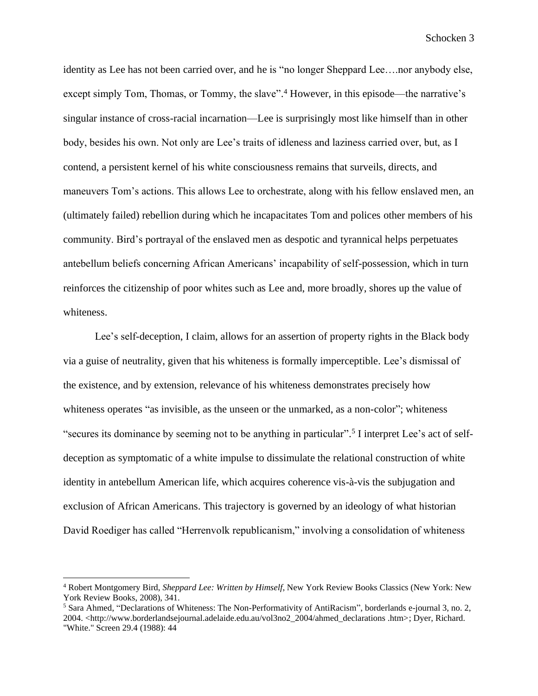identity as Lee has not been carried over, and he is "no longer Sheppard Lee….nor anybody else, except simply Tom, Thomas, or Tommy, the slave".<sup>4</sup> However, in this episode—the narrative's singular instance of cross-racial incarnation—Lee is surprisingly most like himself than in other body, besides his own. Not only are Lee's traits of idleness and laziness carried over, but, as I contend, a persistent kernel of his white consciousness remains that surveils, directs, and maneuvers Tom's actions. This allows Lee to orchestrate, along with his fellow enslaved men, an (ultimately failed) rebellion during which he incapacitates Tom and polices other members of his community. Bird's portrayal of the enslaved men as despotic and tyrannical helps perpetuates antebellum beliefs concerning African Americans' incapability of self-possession, which in turn reinforces the citizenship of poor whites such as Lee and, more broadly, shores up the value of whiteness.

Lee's self-deception, I claim, allows for an assertion of property rights in the Black body via a guise of neutrality, given that his whiteness is formally imperceptible. Lee's dismissal of the existence, and by extension, relevance of his whiteness demonstrates precisely how whiteness operates "as invisible, as the unseen or the unmarked, as a non-color"; whiteness "secures its dominance by seeming not to be anything in particular".<sup>5</sup> I interpret Lee's act of selfdeception as symptomatic of a white impulse to dissimulate the relational construction of white identity in antebellum American life, which acquires coherence vis-à-vis the subjugation and exclusion of African Americans. This trajectory is governed by an ideology of what historian David Roediger has called "Herrenvolk republicanism," involving a consolidation of whiteness

<sup>4</sup> Robert Montgomery Bird, *Sheppard Lee: Written by Himself*, New York Review Books Classics (New York: New York Review Books, 2008), 341.

<sup>5</sup> Sara Ahmed, "Declarations of Whiteness: The Non-Performativity of AntiRacism", borderlands e-journal 3, no. 2, 2004. <http://www.borderlandsejournal.adelaide.edu.au/vol3no2\_2004/ahmed\_declarations .htm>; Dyer, Richard.

<sup>&</sup>quot;White." Screen 29.4 (1988): 44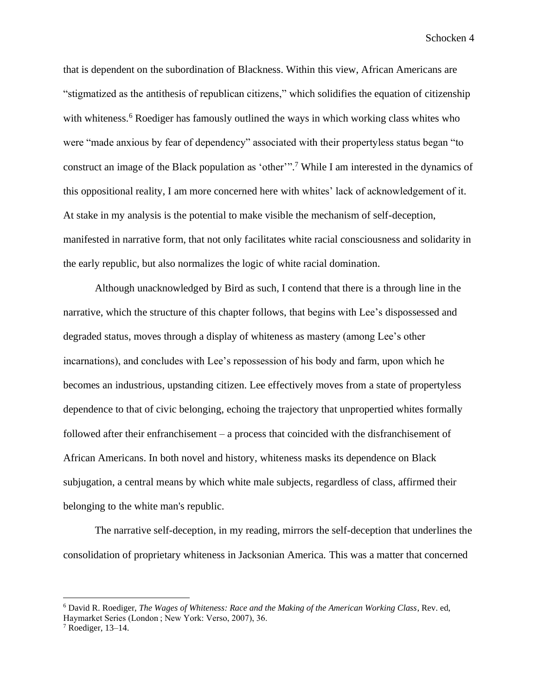that is dependent on the subordination of Blackness. Within this view, African Americans are "stigmatized as the antithesis of republican citizens," which solidifies the equation of citizenship with whiteness.<sup>6</sup> Roediger has famously outlined the ways in which working class whites who were "made anxious by fear of dependency" associated with their propertyless status began "to construct an image of the Black population as 'other'". <sup>7</sup> While I am interested in the dynamics of this oppositional reality, I am more concerned here with whites' lack of acknowledgement of it. At stake in my analysis is the potential to make visible the mechanism of self-deception, manifested in narrative form, that not only facilitates white racial consciousness and solidarity in the early republic, but also normalizes the logic of white racial domination.

Although unacknowledged by Bird as such, I contend that there is a through line in the narrative, which the structure of this chapter follows, that begins with Lee's dispossessed and degraded status, moves through a display of whiteness as mastery (among Lee's other incarnations), and concludes with Lee's repossession of his body and farm, upon which he becomes an industrious, upstanding citizen. Lee effectively moves from a state of propertyless dependence to that of civic belonging, echoing the trajectory that unpropertied whites formally followed after their enfranchisement – a process that coincided with the disfranchisement of African Americans. In both novel and history, whiteness masks its dependence on Black subjugation, a central means by which white male subjects, regardless of class, affirmed their belonging to the white man's republic.

The narrative self-deception, in my reading, mirrors the self-deception that underlines the consolidation of proprietary whiteness in Jacksonian America. This was a matter that concerned

<sup>6</sup> David R. Roediger, *The Wages of Whiteness: Race and the Making of the American Working Class*, Rev. ed, Haymarket Series (London ; New York: Verso, 2007), 36.

 $7$  Roediger, 13–14.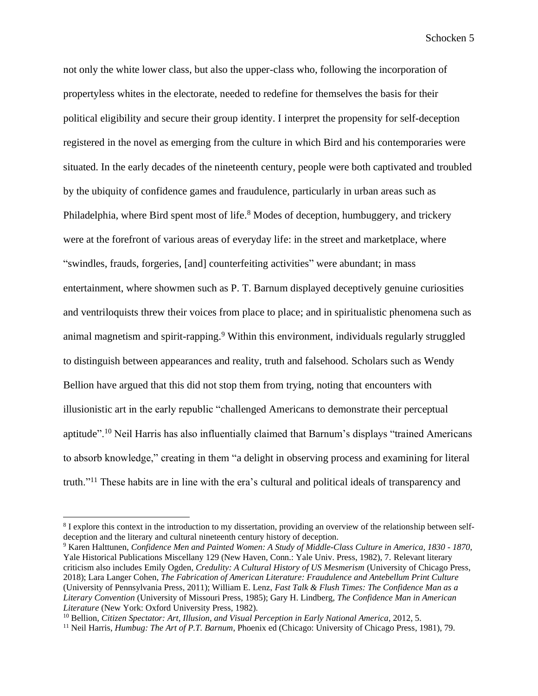not only the white lower class, but also the upper-class who, following the incorporation of propertyless whites in the electorate, needed to redefine for themselves the basis for their political eligibility and secure their group identity. I interpret the propensity for self-deception registered in the novel as emerging from the culture in which Bird and his contemporaries were situated. In the early decades of the nineteenth century, people were both captivated and troubled by the ubiquity of confidence games and fraudulence, particularly in urban areas such as Philadelphia, where Bird spent most of life.<sup>8</sup> Modes of deception, humbuggery, and trickery were at the forefront of various areas of everyday life: in the street and marketplace, where "swindles, frauds, forgeries, [and] counterfeiting activities" were abundant; in mass entertainment, where showmen such as P. T. Barnum displayed deceptively genuine curiosities and ventriloquists threw their voices from place to place; and in spiritualistic phenomena such as animal magnetism and spirit-rapping. <sup>9</sup> Within this environment, individuals regularly struggled to distinguish between appearances and reality, truth and falsehood. Scholars such as Wendy Bellion have argued that this did not stop them from trying, noting that encounters with illusionistic art in the early republic "challenged Americans to demonstrate their perceptual aptitude".<sup>10</sup> Neil Harris has also influentially claimed that Barnum's displays "trained Americans to absorb knowledge," creating in them "a delight in observing process and examining for literal truth."<sup>11</sup> These habits are in line with the era's cultural and political ideals of transparency and

<sup>&</sup>lt;sup>8</sup> I explore this context in the introduction to my dissertation, providing an overview of the relationship between selfdeception and the literary and cultural nineteenth century history of deception.

<sup>9</sup> Karen Halttunen, *Confidence Men and Painted Women: A Study of Middle-Class Culture in America, 1830 - 1870*, Yale Historical Publications Miscellany 129 (New Haven, Conn.: Yale Univ. Press, 1982), 7. Relevant literary criticism also includes Emily Ogden, *Credulity: A Cultural History of US Mesmerism* (University of Chicago Press, 2018); Lara Langer Cohen, *The Fabrication of American Literature: Fraudulence and Antebellum Print Culture*  (University of Pennsylvania Press, 2011); William E. Lenz, *Fast Talk & Flush Times: The Confidence Man as a Literary Convention* (University of Missouri Press, 1985); Gary H. Lindberg, *The Confidence Man in American Literature* (New York: Oxford University Press, 1982).

<sup>&</sup>lt;sup>10</sup> Bellion, *Citizen Spectator: Art, Illusion, and Visual Perception in Early National America, 2012, 5.* 

<sup>&</sup>lt;sup>11</sup> Neil Harris, *Humbug: The Art of P.T. Barnum*, Phoenix ed (Chicago: University of Chicago Press, 1981), 79.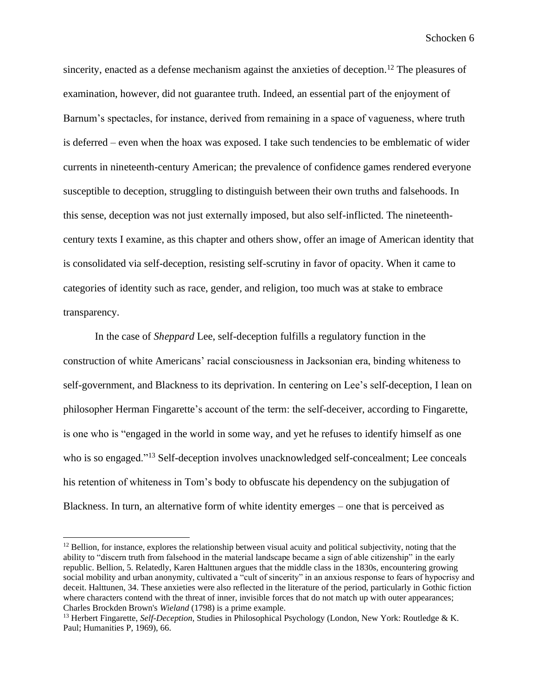sincerity, enacted as a defense mechanism against the anxieties of deception. <sup>12</sup> The pleasures of examination, however, did not guarantee truth. Indeed, an essential part of the enjoyment of Barnum's spectacles, for instance, derived from remaining in a space of vagueness, where truth is deferred – even when the hoax was exposed. I take such tendencies to be emblematic of wider currents in nineteenth-century American; the prevalence of confidence games rendered everyone susceptible to deception, struggling to distinguish between their own truths and falsehoods. In this sense, deception was not just externally imposed, but also self-inflicted. The nineteenthcentury texts I examine, as this chapter and others show, offer an image of American identity that is consolidated via self-deception, resisting self-scrutiny in favor of opacity. When it came to categories of identity such as race, gender, and religion, too much was at stake to embrace transparency.

In the case of *Sheppard* Lee, self-deception fulfills a regulatory function in the construction of white Americans' racial consciousness in Jacksonian era, binding whiteness to self-government, and Blackness to its deprivation. In centering on Lee's self-deception, I lean on philosopher Herman Fingarette's account of the term: the self-deceiver, according to Fingarette, is one who is "engaged in the world in some way, and yet he refuses to identify himself as one who is so engaged."<sup>13</sup> Self-deception involves unacknowledged self-concealment; Lee conceals his retention of whiteness in Tom's body to obfuscate his dependency on the subjugation of Blackness. In turn, an alternative form of white identity emerges – one that is perceived as

 $12$  Bellion, for instance, explores the relationship between visual acuity and political subjectivity, noting that the ability to "discern truth from falsehood in the material landscape became a sign of able citizenship" in the early republic. Bellion, 5. Relatedly, Karen Halttunen argues that the middle class in the 1830s, encountering growing social mobility and urban anonymity, cultivated a "cult of sincerity" in an anxious response to fears of hypocrisy and deceit. Halttunen, 34. These anxieties were also reflected in the literature of the period, particularly in Gothic fiction where characters contend with the threat of inner, invisible forces that do not match up with outer appearances; Charles Brockden Brown's *Wieland* (1798) is a prime example.

<sup>13</sup> Herbert Fingarette, *Self-Deception*, Studies in Philosophical Psychology (London, New York: Routledge & K. Paul; Humanities P, 1969), 66.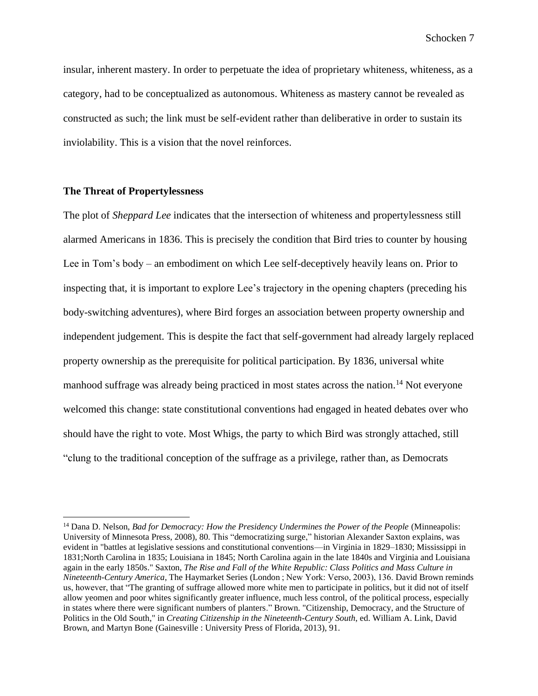insular, inherent mastery. In order to perpetuate the idea of proprietary whiteness, whiteness, as a category, had to be conceptualized as autonomous. Whiteness as mastery cannot be revealed as constructed as such; the link must be self-evident rather than deliberative in order to sustain its inviolability. This is a vision that the novel reinforces.

# **The Threat of Propertylessness**

The plot of *Sheppard Lee* indicates that the intersection of whiteness and propertylessness still alarmed Americans in 1836. This is precisely the condition that Bird tries to counter by housing Lee in Tom's body – an embodiment on which Lee self-deceptively heavily leans on. Prior to inspecting that, it is important to explore Lee's trajectory in the opening chapters (preceding his body-switching adventures), where Bird forges an association between property ownership and independent judgement. This is despite the fact that self-government had already largely replaced property ownership as the prerequisite for political participation. By 1836, universal white manhood suffrage was already being practiced in most states across the nation.<sup>14</sup> Not everyone welcomed this change: state constitutional conventions had engaged in heated debates over who should have the right to vote. Most Whigs, the party to which Bird was strongly attached, still "clung to the traditional conception of the suffrage as a privilege, rather than, as Democrats

<sup>&</sup>lt;sup>14</sup> Dana D. Nelson, *Bad for Democracy: How the Presidency Undermines the Power of the People* (Minneapolis: University of Minnesota Press, 2008), 80. This "democratizing surge," historian Alexander Saxton explains, was evident in "battles at legislative sessions and constitutional conventions—in Virginia in 1829–1830; Mississippi in 1831;North Carolina in 1835; Louisiana in 1845; North Carolina again in the late 1840s and Virginia and Louisiana again in the early 1850s." Saxton, *The Rise and Fall of the White Republic: Class Politics and Mass Culture in Nineteenth-Century America*, The Haymarket Series (London ; New York: Verso, 2003), 136. David Brown reminds us, however, that "The granting of suffrage allowed more white men to participate in politics, but it did not of itself allow yeomen and poor whites significantly greater influence, much less control, of the political process, especially in states where there were significant numbers of planters." Brown. "Citizenship, Democracy, and the Structure of Politics in the Old South," in *Creating Citizenship in the Nineteenth-Century South*, ed. William A. Link, David Brown, and Martyn Bone (Gainesville : University Press of Florida, 2013), 91.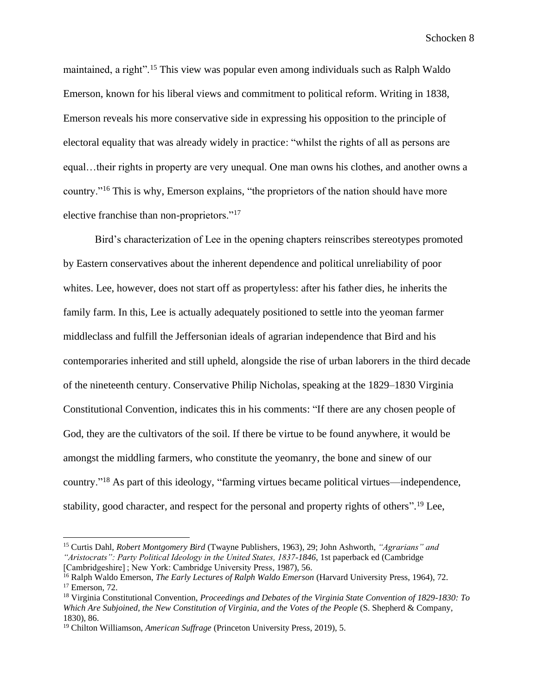maintained, a right".<sup>15</sup> This view was popular even among individuals such as Ralph Waldo Emerson, known for his liberal views and commitment to political reform. Writing in 1838, Emerson reveals his more conservative side in expressing his opposition to the principle of electoral equality that was already widely in practice: "whilst the rights of all as persons are equal…their rights in property are very unequal. One man owns his clothes, and another owns a country."<sup>16</sup> This is why, Emerson explains, "the proprietors of the nation should have more elective franchise than non-proprietors."<sup>17</sup>

Bird's characterization of Lee in the opening chapters reinscribes stereotypes promoted by Eastern conservatives about the inherent dependence and political unreliability of poor whites. Lee, however, does not start off as propertyless: after his father dies, he inherits the family farm. In this, Lee is actually adequately positioned to settle into the yeoman farmer middleclass and fulfill the Jeffersonian ideals of agrarian independence that Bird and his contemporaries inherited and still upheld, alongside the rise of urban laborers in the third decade of the nineteenth century. Conservative Philip Nicholas, speaking at the 1829–1830 Virginia Constitutional Convention, indicates this in his comments: "If there are any chosen people of God, they are the cultivators of the soil. If there be virtue to be found anywhere, it would be amongst the middling farmers, who constitute the yeomanry, the bone and sinew of our country."<sup>18</sup> As part of this ideology, "farming virtues became political virtues—independence, stability, good character, and respect for the personal and property rights of others".<sup>19</sup> Lee,

<sup>15</sup> Curtis Dahl, *Robert Montgomery Bird* (Twayne Publishers, 1963), 29; John Ashworth, *"Agrarians" and "Aristocrats": Party Political Ideology in the United States, 1837-1846*, 1st paperback ed (Cambridge [Cambridgeshire] ; New York: Cambridge University Press, 1987), 56.

<sup>16</sup> Ralph Waldo Emerson, *The Early Lectures of Ralph Waldo Emerson* (Harvard University Press, 1964), 72. <sup>17</sup> Emerson, 72.

<sup>18</sup> Virginia Constitutional Convention, *Proceedings and Debates of the Virginia State Convention of 1829-1830: To Which Are Subjoined, the New Constitution of Virginia, and the Votes of the People* (S. Shepherd & Company, 1830), 86.

<sup>19</sup> Chilton Williamson, *American Suffrage* (Princeton University Press, 2019), 5.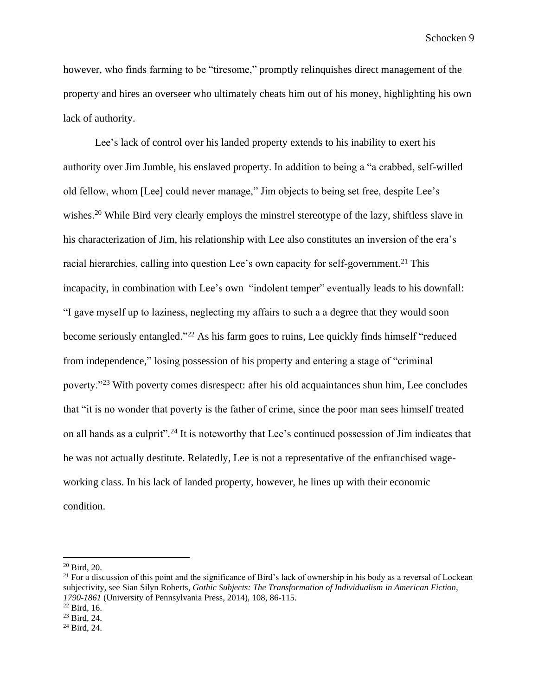however, who finds farming to be "tiresome," promptly relinquishes direct management of the property and hires an overseer who ultimately cheats him out of his money, highlighting his own lack of authority.

Lee's lack of control over his landed property extends to his inability to exert his authority over Jim Jumble, his enslaved property. In addition to being a "a crabbed, self-willed old fellow, whom [Lee] could never manage," Jim objects to being set free, despite Lee's wishes.<sup>20</sup> While Bird very clearly employs the minstrel stereotype of the lazy, shiftless slave in his characterization of Jim, his relationship with Lee also constitutes an inversion of the era's racial hierarchies, calling into question Lee's own capacity for self-government.<sup>21</sup> This incapacity, in combination with Lee's own "indolent temper" eventually leads to his downfall: "I gave myself up to laziness, neglecting my affairs to such a a degree that they would soon become seriously entangled."<sup>22</sup> As his farm goes to ruins, Lee quickly finds himself "reduced from independence," losing possession of his property and entering a stage of "criminal poverty."<sup>23</sup> With poverty comes disrespect: after his old acquaintances shun him, Lee concludes that "it is no wonder that poverty is the father of crime, since the poor man sees himself treated on all hands as a culprit". <sup>24</sup> It is noteworthy that Lee's continued possession of Jim indicates that he was not actually destitute. Relatedly, Lee is not a representative of the enfranchised wageworking class. In his lack of landed property, however, he lines up with their economic condition.

 $20$  Bird, 20.

 $21$  For a discussion of this point and the significance of Bird's lack of ownership in his body as a reversal of Lockean subjectivity, see Sian Silyn Roberts, *Gothic Subjects: The Transformation of Individualism in American Fiction, 1790-1861* (University of Pennsylvania Press, 2014), 108, 86-115.

 $22$  Bird, 16.

<sup>23</sup> Bird, 24.

 $24$  Bird, 24.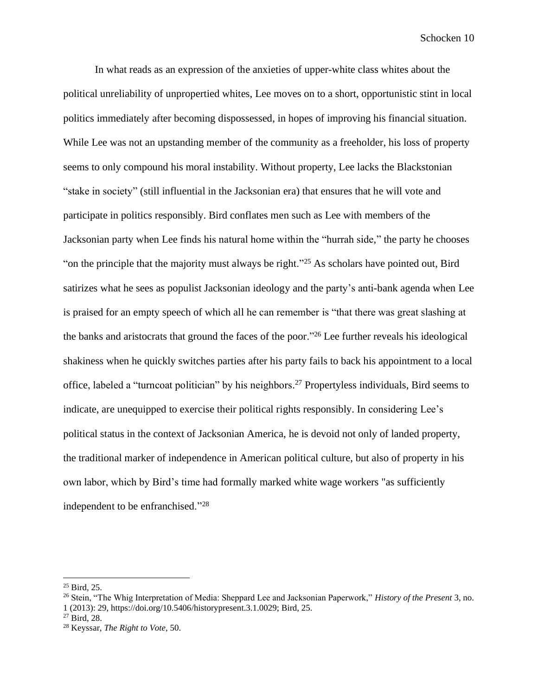In what reads as an expression of the anxieties of upper-white class whites about the political unreliability of unpropertied whites, Lee moves on to a short, opportunistic stint in local politics immediately after becoming dispossessed, in hopes of improving his financial situation. While Lee was not an upstanding member of the community as a freeholder, his loss of property seems to only compound his moral instability. Without property, Lee lacks the Blackstonian "stake in society" (still influential in the Jacksonian era) that ensures that he will vote and participate in politics responsibly. Bird conflates men such as Lee with members of the Jacksonian party when Lee finds his natural home within the "hurrah side," the party he chooses "on the principle that the majority must always be right."<sup>25</sup> As scholars have pointed out, Bird satirizes what he sees as populist Jacksonian ideology and the party's anti-bank agenda when Lee is praised for an empty speech of which all he can remember is "that there was great slashing at the banks and aristocrats that ground the faces of the poor."<sup>26</sup> Lee further reveals his ideological shakiness when he quickly switches parties after his party fails to back his appointment to a local office, labeled a "turncoat politician" by his neighbors. <sup>27</sup> Propertyless individuals, Bird seems to indicate, are unequipped to exercise their political rights responsibly. In considering Lee's political status in the context of Jacksonian America, he is devoid not only of landed property, the traditional marker of independence in American political culture, but also of property in his own labor, which by Bird's time had formally marked white wage workers "as sufficiently independent to be enfranchised."<sup>28</sup>

<sup>25</sup> Bird, 25.

<sup>26</sup> Stein, "The Whig Interpretation of Media: Sheppard Lee and Jacksonian Paperwork," *History of the Present* 3, no. 1 (2013): 29, https://doi.org/10.5406/historypresent.3.1.0029; Bird, 25.

<sup>27</sup> Bird, 28.

<sup>28</sup> Keyssar, *The Right to Vote*, 50.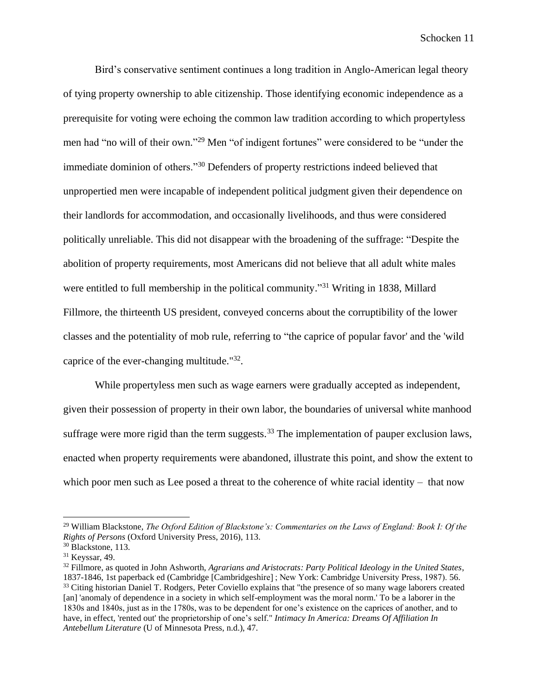Bird's conservative sentiment continues a long tradition in Anglo-American legal theory of tying property ownership to able citizenship. Those identifying economic independence as a prerequisite for voting were echoing the common law tradition according to which propertyless men had "no will of their own."<sup>29</sup> Men "of indigent fortunes" were considered to be "under the immediate dominion of others."<sup>30</sup> Defenders of property restrictions indeed believed that unpropertied men were incapable of independent political judgment given their dependence on their landlords for accommodation, and occasionally livelihoods, and thus were considered politically unreliable. This did not disappear with the broadening of the suffrage: "Despite the abolition of property requirements, most Americans did not believe that all adult white males were entitled to full membership in the political community."<sup>31</sup> Writing in 1838, Millard Fillmore, the thirteenth US president, conveyed concerns about the corruptibility of the lower classes and the potentiality of mob rule, referring to "the caprice of popular favor' and the 'wild caprice of the ever-changing multitude."<sup>32</sup>.

While propertyless men such as wage earners were gradually accepted as independent, given their possession of property in their own labor, the boundaries of universal white manhood suffrage were more rigid than the term suggests.<sup>33</sup> The implementation of pauper exclusion laws, enacted when property requirements were abandoned, illustrate this point, and show the extent to which poor men such as Lee posed a threat to the coherence of white racial identity – that now

<sup>29</sup> William Blackstone, *The Oxford Edition of Blackstone's: Commentaries on the Laws of England: Book I: Of the Rights of Persons* (Oxford University Press, 2016), 113.

<sup>30</sup> Blackstone, 113.

<sup>31</sup> Keyssar, 49.

<sup>32</sup> Fillmore, as quoted in John Ashworth, *Agrarians and Aristocrats: Party Political Ideology in the United States*, 1837-1846, 1st paperback ed (Cambridge [Cambridgeshire] ; New York: Cambridge University Press, 1987). 56. <sup>33</sup> Citing historian Daniel T. Rodgers, Peter Coviello explains that "the presence of so many wage laborers created [an] 'anomaly of dependence in a society in which self-employment was the moral norm.' To be a laborer in the 1830s and 1840s, just as in the 1780s, was to be dependent for one's existence on the caprices of another, and to have, in effect, 'rented out' the proprietorship of one's self." *Intimacy In America: Dreams Of Affiliation In Antebellum Literature* (U of Minnesota Press, n.d.), 47.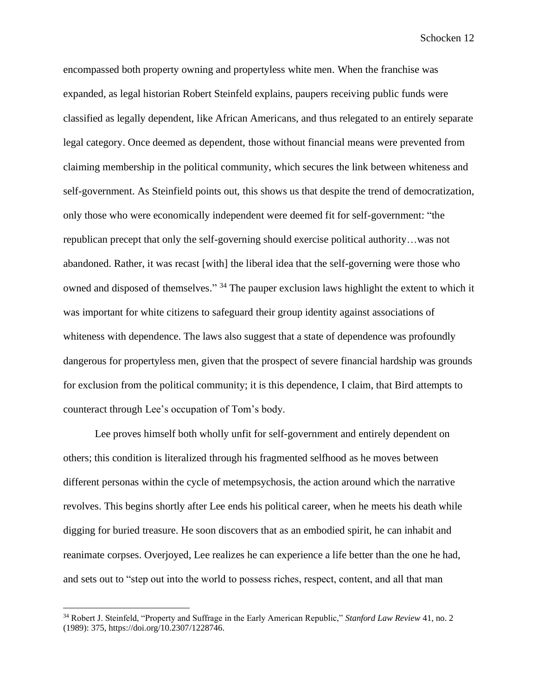encompassed both property owning and propertyless white men. When the franchise was expanded, as legal historian Robert Steinfeld explains, paupers receiving public funds were classified as legally dependent, like African Americans, and thus relegated to an entirely separate legal category. Once deemed as dependent, those without financial means were prevented from claiming membership in the political community, which secures the link between whiteness and self-government. As Steinfield points out, this shows us that despite the trend of democratization, only those who were economically independent were deemed fit for self-government: "the republican precept that only the self-governing should exercise political authority…was not abandoned. Rather, it was recast [with] the liberal idea that the self-governing were those who owned and disposed of themselves." <sup>34</sup> The pauper exclusion laws highlight the extent to which it was important for white citizens to safeguard their group identity against associations of whiteness with dependence. The laws also suggest that a state of dependence was profoundly dangerous for propertyless men, given that the prospect of severe financial hardship was grounds for exclusion from the political community; it is this dependence, I claim, that Bird attempts to counteract through Lee's occupation of Tom's body.

Lee proves himself both wholly unfit for self-government and entirely dependent on others; this condition is literalized through his fragmented selfhood as he moves between different personas within the cycle of metempsychosis, the action around which the narrative revolves. This begins shortly after Lee ends his political career, when he meets his death while digging for buried treasure. He soon discovers that as an embodied spirit, he can inhabit and reanimate corpses. Overjoyed, Lee realizes he can experience a life better than the one he had, and sets out to "step out into the world to possess riches, respect, content, and all that man

<sup>34</sup> Robert J. Steinfeld, "Property and Suffrage in the Early American Republic," *Stanford Law Review* 41, no. 2 (1989): 375, https://doi.org/10.2307/1228746.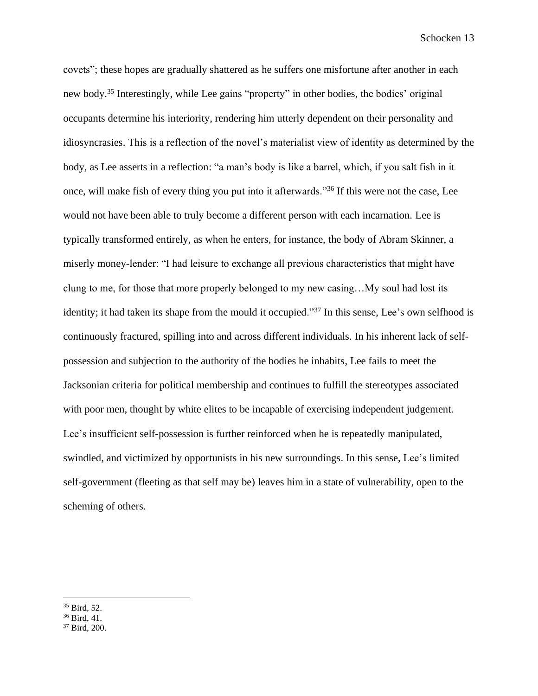covets"; these hopes are gradually shattered as he suffers one misfortune after another in each new body. <sup>35</sup> Interestingly, while Lee gains "property" in other bodies, the bodies' original occupants determine his interiority, rendering him utterly dependent on their personality and idiosyncrasies. This is a reflection of the novel's materialist view of identity as determined by the body, as Lee asserts in a reflection: "a man's body is like a barrel, which, if you salt fish in it once, will make fish of every thing you put into it afterwards."<sup>36</sup> If this were not the case, Lee would not have been able to truly become a different person with each incarnation. Lee is typically transformed entirely, as when he enters, for instance, the body of Abram Skinner, a miserly money-lender: "I had leisure to exchange all previous characteristics that might have clung to me, for those that more properly belonged to my new casing…My soul had lost its identity; it had taken its shape from the mould it occupied."<sup>37</sup> In this sense, Lee's own selfhood is continuously fractured, spilling into and across different individuals. In his inherent lack of selfpossession and subjection to the authority of the bodies he inhabits, Lee fails to meet the Jacksonian criteria for political membership and continues to fulfill the stereotypes associated with poor men, thought by white elites to be incapable of exercising independent judgement. Lee's insufficient self-possession is further reinforced when he is repeatedly manipulated, swindled, and victimized by opportunists in his new surroundings. In this sense, Lee's limited self-government (fleeting as that self may be) leaves him in a state of vulnerability, open to the scheming of others.

<sup>35</sup> Bird, 52.

<sup>36</sup> Bird, 41.

<sup>37</sup> Bird, 200.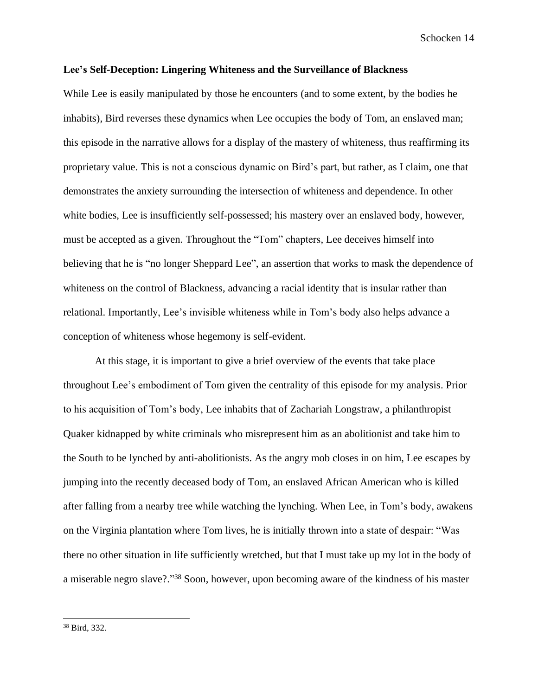## **Lee's Self-Deception: Lingering Whiteness and the Surveillance of Blackness**

While Lee is easily manipulated by those he encounters (and to some extent, by the bodies he inhabits), Bird reverses these dynamics when Lee occupies the body of Tom, an enslaved man; this episode in the narrative allows for a display of the mastery of whiteness, thus reaffirming its proprietary value. This is not a conscious dynamic on Bird's part, but rather, as I claim, one that demonstrates the anxiety surrounding the intersection of whiteness and dependence. In other white bodies, Lee is insufficiently self-possessed; his mastery over an enslaved body, however, must be accepted as a given. Throughout the "Tom" chapters, Lee deceives himself into believing that he is "no longer Sheppard Lee", an assertion that works to mask the dependence of whiteness on the control of Blackness, advancing a racial identity that is insular rather than relational. Importantly, Lee's invisible whiteness while in Tom's body also helps advance a conception of whiteness whose hegemony is self-evident.

At this stage, it is important to give a brief overview of the events that take place throughout Lee's embodiment of Tom given the centrality of this episode for my analysis. Prior to his acquisition of Tom's body, Lee inhabits that of Zachariah Longstraw, a philanthropist Quaker kidnapped by white criminals who misrepresent him as an abolitionist and take him to the South to be lynched by anti-abolitionists. As the angry mob closes in on him, Lee escapes by jumping into the recently deceased body of Tom, an enslaved African American who is killed after falling from a nearby tree while watching the lynching. When Lee, in Tom's body, awakens on the Virginia plantation where Tom lives, he is initially thrown into a state of despair: "Was there no other situation in life sufficiently wretched, but that I must take up my lot in the body of a miserable negro slave?."<sup>38</sup> Soon, however, upon becoming aware of the kindness of his master

<sup>38</sup> Bird, 332.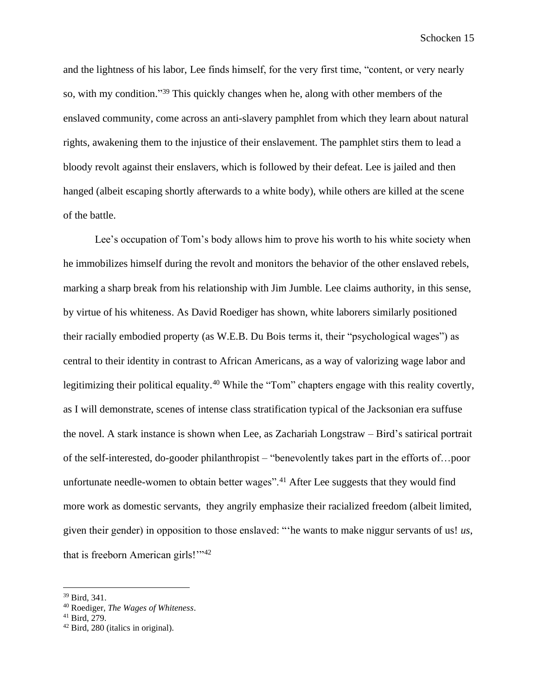and the lightness of his labor, Lee finds himself, for the very first time, "content, or very nearly so, with my condition." <sup>39</sup> This quickly changes when he, along with other members of the enslaved community, come across an anti-slavery pamphlet from which they learn about natural rights, awakening them to the injustice of their enslavement. The pamphlet stirs them to lead a bloody revolt against their enslavers, which is followed by their defeat. Lee is jailed and then hanged (albeit escaping shortly afterwards to a white body), while others are killed at the scene of the battle.

Lee's occupation of Tom's body allows him to prove his worth to his white society when he immobilizes himself during the revolt and monitors the behavior of the other enslaved rebels, marking a sharp break from his relationship with Jim Jumble. Lee claims authority, in this sense, by virtue of his whiteness. As David Roediger has shown, white laborers similarly positioned their racially embodied property (as W.E.B. Du Bois terms it, their "psychological wages") as central to their identity in contrast to African Americans, as a way of valorizing wage labor and legitimizing their political equality.<sup>40</sup> While the "Tom" chapters engage with this reality covertly, as I will demonstrate, scenes of intense class stratification typical of the Jacksonian era suffuse the novel. A stark instance is shown when Lee, as Zachariah Longstraw – Bird's satirical portrait of the self-interested, do-gooder philanthropist – "benevolently takes part in the efforts of…poor unfortunate needle-women to obtain better wages".<sup>41</sup> After Lee suggests that they would find more work as domestic servants, they angrily emphasize their racialized freedom (albeit limited, given their gender) in opposition to those enslaved: "'he wants to make niggur servants of us! *us*, that is freeborn American girls!"<sup>42</sup>

<sup>39</sup> Bird, 341.

<sup>40</sup> Roediger, *The Wages of Whiteness*.

<sup>41</sup> Bird, 279.

<sup>42</sup> Bird, 280 (italics in original).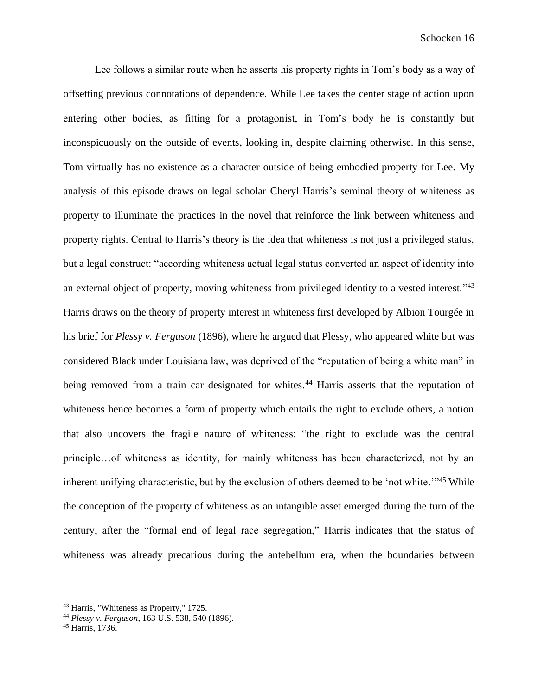Lee follows a similar route when he asserts his property rights in Tom's body as a way of offsetting previous connotations of dependence. While Lee takes the center stage of action upon entering other bodies, as fitting for a protagonist, in Tom's body he is constantly but inconspicuously on the outside of events, looking in, despite claiming otherwise. In this sense, Tom virtually has no existence as a character outside of being embodied property for Lee. My analysis of this episode draws on legal scholar Cheryl Harris's seminal theory of whiteness as property to illuminate the practices in the novel that reinforce the link between whiteness and property rights. Central to Harris's theory is the idea that whiteness is not just a privileged status, but a legal construct: "according whiteness actual legal status converted an aspect of identity into an external object of property, moving whiteness from privileged identity to a vested interest."<sup>43</sup> Harris draws on the theory of property interest in whiteness first developed by Albion Tourgée in his brief for *Plessy v. Ferguson* (1896), where he argued that Plessy, who appeared white but was considered Black under Louisiana law, was deprived of the "reputation of being a white man" in being removed from a train car designated for whites.<sup>44</sup> Harris asserts that the reputation of whiteness hence becomes a form of property which entails the right to exclude others, a notion that also uncovers the fragile nature of whiteness: "the right to exclude was the central principle…of whiteness as identity, for mainly whiteness has been characterized, not by an inherent unifying characteristic, but by the exclusion of others deemed to be 'not white."<sup>45</sup> While the conception of the property of whiteness as an intangible asset emerged during the turn of the century, after the "formal end of legal race segregation," Harris indicates that the status of whiteness was already precarious during the antebellum era, when the boundaries between

<sup>43</sup> Harris, "Whiteness as Property," 1725.

<sup>44</sup> *Plessy v. Ferguson*, 163 U.S. 538, 540 (1896).

<sup>45</sup> Harris, 1736.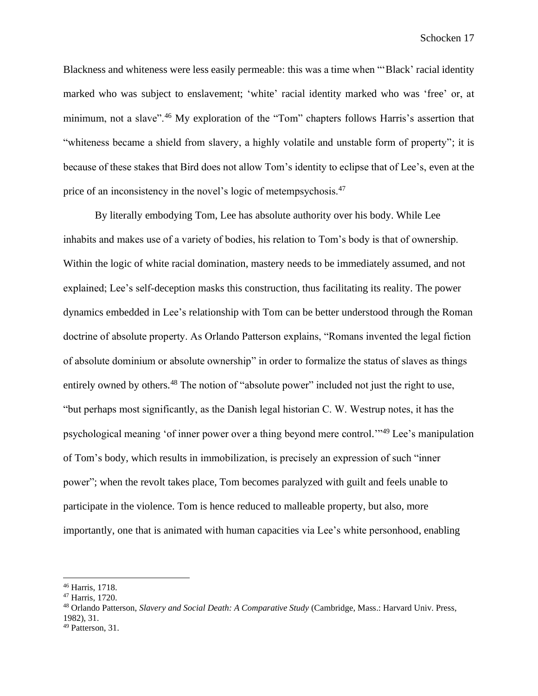Blackness and whiteness were less easily permeable: this was a time when "'Black' racial identity marked who was subject to enslavement; 'white' racial identity marked who was 'free' or, at minimum, not a slave".<sup>46</sup> My exploration of the "Tom" chapters follows Harris's assertion that "whiteness became a shield from slavery, a highly volatile and unstable form of property"; it is because of these stakes that Bird does not allow Tom's identity to eclipse that of Lee's, even at the price of an inconsistency in the novel's logic of metempsychosis.<sup>47</sup>

By literally embodying Tom, Lee has absolute authority over his body. While Lee inhabits and makes use of a variety of bodies, his relation to Tom's body is that of ownership. Within the logic of white racial domination, mastery needs to be immediately assumed, and not explained; Lee's self-deception masks this construction, thus facilitating its reality. The power dynamics embedded in Lee's relationship with Tom can be better understood through the Roman doctrine of absolute property. As Orlando Patterson explains, "Romans invented the legal fiction of absolute dominium or absolute ownership" in order to formalize the status of slaves as things entirely owned by others.<sup>48</sup> The notion of "absolute power" included not just the right to use, "but perhaps most significantly, as the Danish legal historian C. W. Westrup notes, it has the psychological meaning 'of inner power over a thing beyond mere control.'" <sup>49</sup> Lee's manipulation of Tom's body, which results in immobilization, is precisely an expression of such "inner power"; when the revolt takes place, Tom becomes paralyzed with guilt and feels unable to participate in the violence. Tom is hence reduced to malleable property, but also, more importantly, one that is animated with human capacities via Lee's white personhood, enabling

<sup>46</sup> Harris, 1718.

<sup>47</sup> Harris, 1720.

<sup>48</sup> Orlando Patterson, *Slavery and Social Death: A Comparative Study* (Cambridge, Mass.: Harvard Univ. Press, 1982), 31.

<sup>49</sup> Patterson, 31.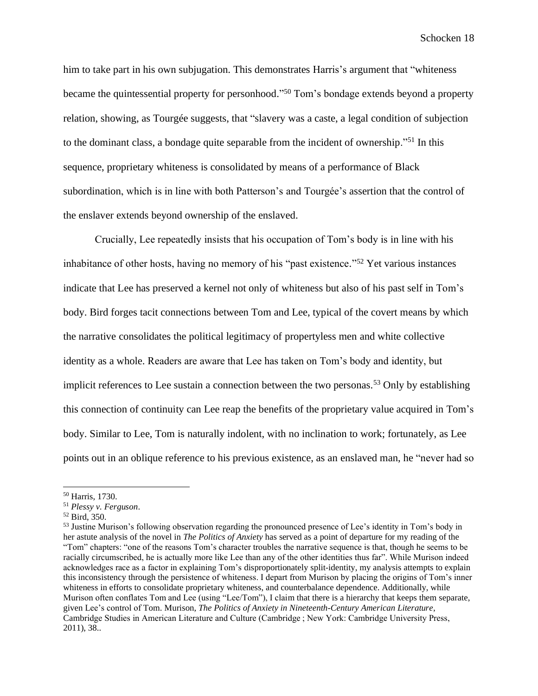him to take part in his own subjugation. This demonstrates Harris's argument that "whiteness became the quintessential property for personhood." <sup>50</sup> Tom's bondage extends beyond a property relation, showing, as Tourgée suggests, that "slavery was a caste, a legal condition of subjection to the dominant class, a bondage quite separable from the incident of ownership."<sup>51</sup> In this sequence, proprietary whiteness is consolidated by means of a performance of Black subordination, which is in line with both Patterson's and Tourgée's assertion that the control of the enslaver extends beyond ownership of the enslaved.

Crucially, Lee repeatedly insists that his occupation of Tom's body is in line with his inhabitance of other hosts, having no memory of his "past existence." <sup>52</sup> Yet various instances indicate that Lee has preserved a kernel not only of whiteness but also of his past self in Tom's body. Bird forges tacit connections between Tom and Lee, typical of the covert means by which the narrative consolidates the political legitimacy of propertyless men and white collective identity as a whole. Readers are aware that Lee has taken on Tom's body and identity, but implicit references to Lee sustain a connection between the two personas.<sup>53</sup> Only by establishing this connection of continuity can Lee reap the benefits of the proprietary value acquired in Tom's body. Similar to Lee, Tom is naturally indolent, with no inclination to work; fortunately, as Lee points out in an oblique reference to his previous existence, as an enslaved man, he "never had so

<sup>50</sup> Harris, 1730.

<sup>51</sup> *Plessy v. Ferguson*.

<sup>52</sup> Bird, 350.

<sup>&</sup>lt;sup>53</sup> Justine Murison's following observation regarding the pronounced presence of Lee's identity in Tom's body in her astute analysis of the novel in *The Politics of Anxiety* has served as a point of departure for my reading of the "Tom" chapters: "one of the reasons Tom's character troubles the narrative sequence is that, though he seems to be racially circumscribed, he is actually more like Lee than any of the other identities thus far". While Murison indeed acknowledges race as a factor in explaining Tom's disproportionately split-identity, my analysis attempts to explain this inconsistency through the persistence of whiteness. I depart from Murison by placing the origins of Tom's inner whiteness in efforts to consolidate proprietary whiteness, and counterbalance dependence. Additionally, while Murison often conflates Tom and Lee (using "Lee/Tom"), I claim that there is a hierarchy that keeps them separate, given Lee's control of Tom. Murison, *The Politics of Anxiety in Nineteenth-Century American Literature*, Cambridge Studies in American Literature and Culture (Cambridge ; New York: Cambridge University Press, 2011), 38..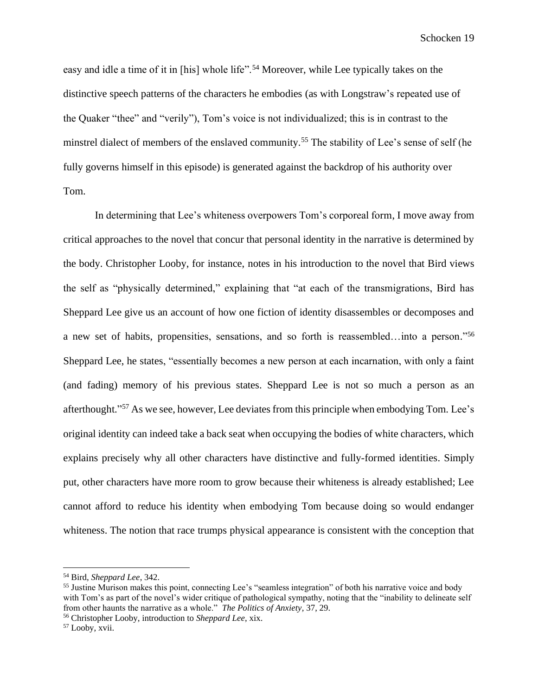easy and idle a time of it in [his] whole life".<sup>54</sup> Moreover, while Lee typically takes on the distinctive speech patterns of the characters he embodies (as with Longstraw's repeated use of the Quaker "thee" and "verily"), Tom's voice is not individualized; this is in contrast to the minstrel dialect of members of the enslaved community.<sup>55</sup> The stability of Lee's sense of self (he fully governs himself in this episode) is generated against the backdrop of his authority over Tom.

In determining that Lee's whiteness overpowers Tom's corporeal form, I move away from critical approaches to the novel that concur that personal identity in the narrative is determined by the body. Christopher Looby, for instance, notes in his introduction to the novel that Bird views the self as "physically determined," explaining that "at each of the transmigrations, Bird has Sheppard Lee give us an account of how one fiction of identity disassembles or decomposes and a new set of habits, propensities, sensations, and so forth is reassembled…into a person." 56 Sheppard Lee, he states, "essentially becomes a new person at each incarnation, with only a faint (and fading) memory of his previous states. Sheppard Lee is not so much a person as an afterthought." <sup>57</sup> As we see, however, Lee deviates from this principle when embodying Tom. Lee's original identity can indeed take a back seat when occupying the bodies of white characters, which explains precisely why all other characters have distinctive and fully-formed identities. Simply put, other characters have more room to grow because their whiteness is already established; Lee cannot afford to reduce his identity when embodying Tom because doing so would endanger whiteness. The notion that race trumps physical appearance is consistent with the conception that

<sup>54</sup> Bird, *Sheppard Lee*, 342.

<sup>&</sup>lt;sup>55</sup> Justine Murison makes this point, connecting Lee's "seamless integration" of both his narrative voice and body with Tom's as part of the novel's wider critique of pathological sympathy, noting that the "inability to delineate self from other haunts the narrative as a whole." *The Politics of Anxiety,* 37, 29.

<sup>56</sup> Christopher Looby, introduction to *Sheppard Lee*, xix.

<sup>57</sup> Looby, xvii.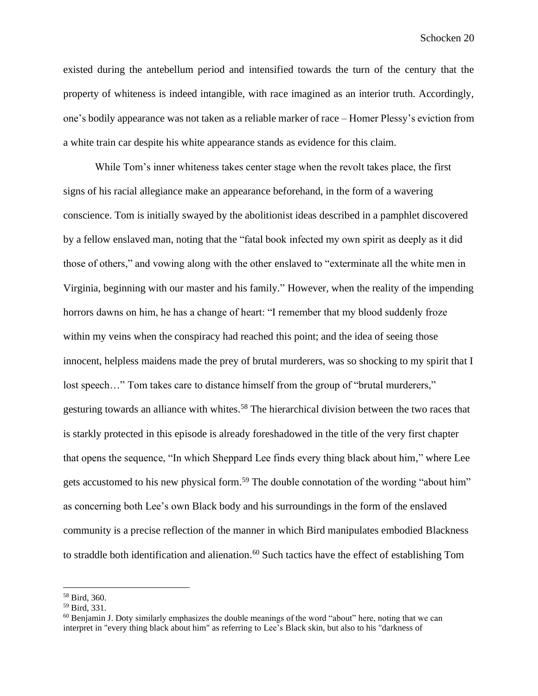existed during the antebellum period and intensified towards the turn of the century that the property of whiteness is indeed intangible, with race imagined as an interior truth. Accordingly, one's bodily appearance was not taken as a reliable marker of race – Homer Plessy's eviction from a white train car despite his white appearance stands as evidence for this claim.

While Tom's inner whiteness takes center stage when the revolt takes place, the first signs of his racial allegiance make an appearance beforehand, in the form of a wavering conscience. Tom is initially swayed by the abolitionist ideas described in a pamphlet discovered by a fellow enslaved man, noting that the "fatal book infected my own spirit as deeply as it did those of others," and vowing along with the other enslaved to "exterminate all the white men in Virginia, beginning with our master and his family." However, when the reality of the impending horrors dawns on him, he has a change of heart: "I remember that my blood suddenly froze within my veins when the conspiracy had reached this point; and the idea of seeing those innocent, helpless maidens made the prey of brutal murderers, was so shocking to my spirit that I lost speech..." Tom takes care to distance himself from the group of "brutal murderers," gesturing towards an alliance with whites. <sup>58</sup> The hierarchical division between the two races that is starkly protected in this episode is already foreshadowed in the title of the very first chapter that opens the sequence, "In which Sheppard Lee finds every thing black about him," where Lee gets accustomed to his new physical form.<sup>59</sup> The double connotation of the wording "about him" as concerning both Lee's own Black body and his surroundings in the form of the enslaved community is a precise reflection of the manner in which Bird manipulates embodied Blackness to straddle both identification and alienation. <sup>60</sup> Such tactics have the effect of establishing Tom

<sup>58</sup> Bird, 360.

<sup>59</sup> Bird, 331.

 $60$  Benjamin J. Doty similarly emphasizes the double meanings of the word "about" here, noting that we can interpret in "every thing black about him" as referring to Lee's Black skin, but also to his "darkness of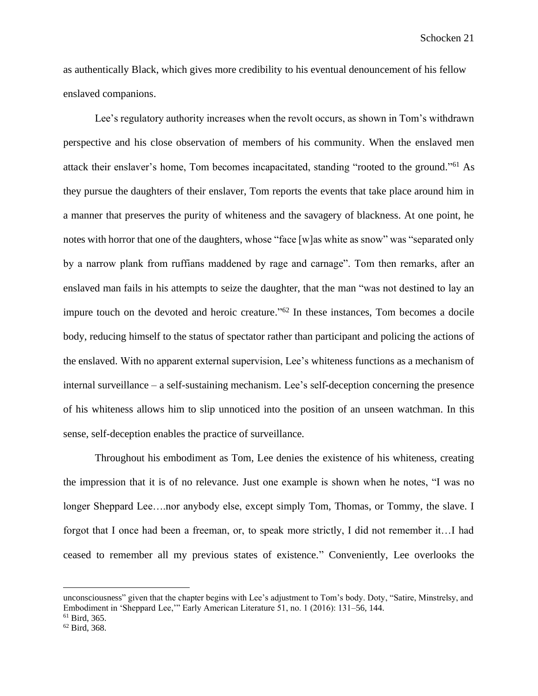as authentically Black, which gives more credibility to his eventual denouncement of his fellow enslaved companions.

Lee's regulatory authority increases when the revolt occurs, as shown in Tom's withdrawn perspective and his close observation of members of his community. When the enslaved men attack their enslaver's home, Tom becomes incapacitated, standing "rooted to the ground." <sup>61</sup> As they pursue the daughters of their enslaver, Tom reports the events that take place around him in a manner that preserves the purity of whiteness and the savagery of blackness. At one point, he notes with horror that one of the daughters, whose "face [w]as white as snow" was "separated only by a narrow plank from ruffians maddened by rage and carnage". Tom then remarks, after an enslaved man fails in his attempts to seize the daughter, that the man "was not destined to lay an impure touch on the devoted and heroic creature."<sup>62</sup> In these instances, Tom becomes a docile body, reducing himself to the status of spectator rather than participant and policing the actions of the enslaved. With no apparent external supervision, Lee's whiteness functions as a mechanism of internal surveillance – a self-sustaining mechanism. Lee's self-deception concerning the presence of his whiteness allows him to slip unnoticed into the position of an unseen watchman. In this sense, self-deception enables the practice of surveillance.

Throughout his embodiment as Tom*,* Lee denies the existence of his whiteness, creating the impression that it is of no relevance. Just one example is shown when he notes, "I was no longer Sheppard Lee….nor anybody else, except simply Tom, Thomas, or Tommy, the slave. I forgot that I once had been a freeman, or, to speak more strictly, I did not remember it…I had ceased to remember all my previous states of existence." Conveniently, Lee overlooks the

unconsciousness" given that the chapter begins with Lee's adjustment to Tom's body. Doty, "Satire, Minstrelsy, and Embodiment in 'Sheppard Lee,'" Early American Literature 51, no. 1 (2016): 131–56, 144.

<sup>61</sup> Bird, 365.

<sup>62</sup> Bird, 368.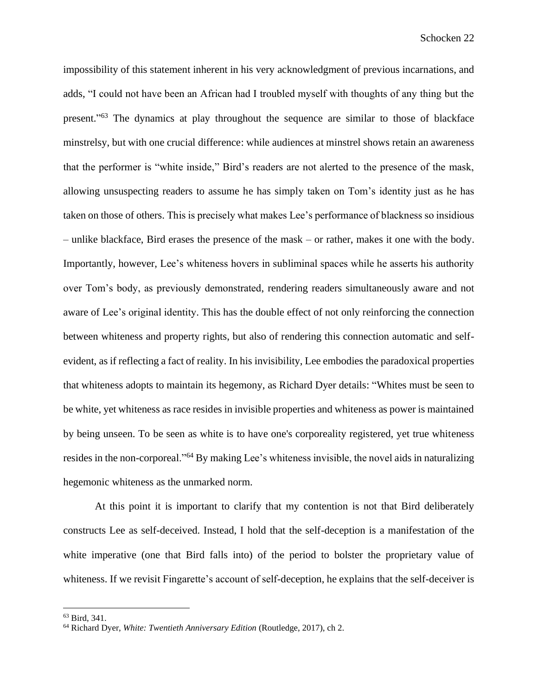impossibility of this statement inherent in his very acknowledgment of previous incarnations, and adds, "I could not have been an African had I troubled myself with thoughts of any thing but the present." <sup>63</sup> The dynamics at play throughout the sequence are similar to those of blackface minstrelsy, but with one crucial difference: while audiences at minstrel shows retain an awareness that the performer is "white inside," Bird's readers are not alerted to the presence of the mask, allowing unsuspecting readers to assume he has simply taken on Tom's identity just as he has taken on those of others. This is precisely what makes Lee's performance of blackness so insidious – unlike blackface, Bird erases the presence of the mask – or rather, makes it one with the body. Importantly, however, Lee's whiteness hovers in subliminal spaces while he asserts his authority over Tom's body, as previously demonstrated, rendering readers simultaneously aware and not aware of Lee's original identity. This has the double effect of not only reinforcing the connection between whiteness and property rights, but also of rendering this connection automatic and selfevident, as if reflecting a fact of reality. In his invisibility, Lee embodies the paradoxical properties that whiteness adopts to maintain its hegemony, as Richard Dyer details: "Whites must be seen to be white, yet whiteness as race resides in invisible properties and whiteness as power is maintained by being unseen. To be seen as white is to have one's corporeality registered, yet true whiteness resides in the non-corporeal."<sup>64</sup> By making Lee's whiteness invisible, the novel aids in naturalizing hegemonic whiteness as the unmarked norm.

At this point it is important to clarify that my contention is not that Bird deliberately constructs Lee as self-deceived. Instead, I hold that the self-deception is a manifestation of the white imperative (one that Bird falls into) of the period to bolster the proprietary value of whiteness. If we revisit Fingarette's account of self-deception, he explains that the self-deceiver is

<sup>63</sup> Bird, 341.

<sup>64</sup> Richard Dyer, *White: Twentieth Anniversary Edition* (Routledge, 2017), ch 2.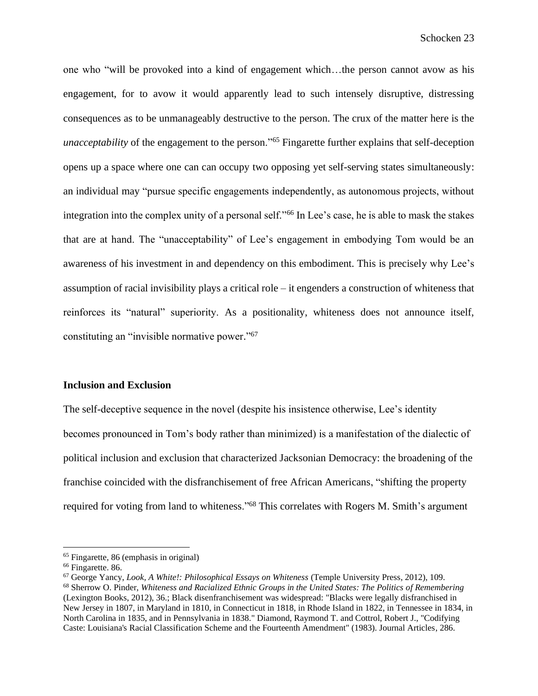one who "will be provoked into a kind of engagement which…the person cannot avow as his engagement, for to avow it would apparently lead to such intensely disruptive, distressing consequences as to be unmanageably destructive to the person. The crux of the matter here is the *unacceptability* of the engagement to the person."<sup>65</sup> Fingarette further explains that self-deception opens up a space where one can can occupy two opposing yet self-serving states simultaneously: an individual may "pursue specific engagements independently, as autonomous projects, without integration into the complex unity of a personal self."<sup>66</sup> In Lee's case, he is able to mask the stakes that are at hand. The "unacceptability" of Lee's engagement in embodying Tom would be an awareness of his investment in and dependency on this embodiment. This is precisely why Lee's assumption of racial invisibility plays a critical role – it engenders a construction of whiteness that reinforces its "natural" superiority. As a positionality, whiteness does not announce itself, constituting an "invisible normative power." 67

### **Inclusion and Exclusion**

The self-deceptive sequence in the novel (despite his insistence otherwise, Lee's identity becomes pronounced in Tom's body rather than minimized) is a manifestation of the dialectic of political inclusion and exclusion that characterized Jacksonian Democracy: the broadening of the franchise coincided with the disfranchisement of free African Americans, "shifting the property required for voting from land to whiteness."<sup>68</sup> This correlates with Rogers M. Smith's argument

<sup>65</sup> Fingarette, 86 (emphasis in original)

<sup>66</sup> Fingarette. 86.

<sup>67</sup> George Yancy, *Look, A White!: Philosophical Essays on Whiteness* (Temple University Press, 2012), 109. <sup>68</sup> Sherrow O. Pinder, *Whiteness and Racialized Ethnic Groups in the United States: The Politics of Remembering* (Lexington Books, 2012), 36.; Black disenfranchisement was widespread: "Blacks were legally disfranchised in New Jersey in 1807, in Maryland in 1810, in Connecticut in 1818, in Rhode Island in 1822, in Tennessee in 1834, in North Carolina in 1835, and in Pennsylvania in 1838." Diamond, Raymond T. and Cottrol, Robert J., "Codifying Caste: Louisiana's Racial Classification Scheme and the Fourteenth Amendment" (1983). Journal Articles, 286.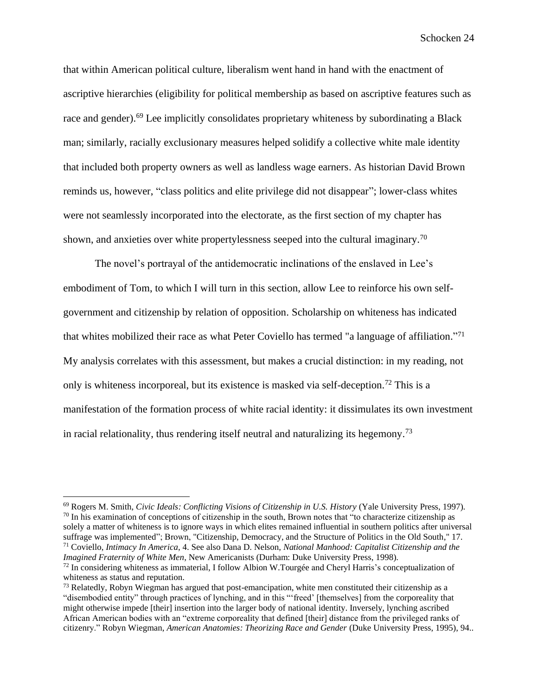that within American political culture, liberalism went hand in hand with the enactment of ascriptive hierarchies (eligibility for political membership as based on ascriptive features such as race and gender).<sup>69</sup> Lee implicitly consolidates proprietary whiteness by subordinating a Black man; similarly, racially exclusionary measures helped solidify a collective white male identity that included both property owners as well as landless wage earners. As historian David Brown reminds us, however, "class politics and elite privilege did not disappear"; lower-class whites were not seamlessly incorporated into the electorate, as the first section of my chapter has shown, and anxieties over white propertylessness seeped into the cultural imaginary.<sup>70</sup>

The novel's portrayal of the antidemocratic inclinations of the enslaved in Lee's embodiment of Tom, to which I will turn in this section, allow Lee to reinforce his own selfgovernment and citizenship by relation of opposition. Scholarship on whiteness has indicated that whites mobilized their race as what Peter Coviello has termed "a language of affiliation."<sup>71</sup> My analysis correlates with this assessment, but makes a crucial distinction: in my reading, not only is whiteness incorporeal, but its existence is masked via self-deception.<sup>72</sup> This is a manifestation of the formation process of white racial identity: it dissimulates its own investment in racial relationality, thus rendering itself neutral and naturalizing its hegemony.<sup>73</sup>

<sup>69</sup> Rogers M. Smith, *Civic Ideals: Conflicting Visions of Citizenship in U.S. History* (Yale University Press, 1997).  $70$  In his examination of conceptions of citizenship in the south, Brown notes that "to characterize citizenship as solely a matter of whiteness is to ignore ways in which elites remained influential in southern politics after universal suffrage was implemented"; Brown, "Citizenship, Democracy, and the Structure of Politics in the Old South," 17. <sup>71</sup> Coviello, *Intimacy In America*, 4. See also Dana D. Nelson, *National Manhood: Capitalist Citizenship and the Imagined Fraternity of White Men*, New Americanists (Durham: Duke University Press, 1998).

 $^{72}$  In considering whiteness as immaterial, I follow Albion W.Tourgée and Cheryl Harris's conceptualization of whiteness as status and reputation.

<sup>&</sup>lt;sup>73</sup> Relatedly, Robyn Wiegman has argued that post-emancipation, white men constituted their citizenship as a "disembodied entity" through practices of lynching, and in this "'freed' [themselves] from the corporeality that might otherwise impede [their] insertion into the larger body of national identity. Inversely, lynching ascribed African American bodies with an "extreme corporeality that defined [their] distance from the privileged ranks of citizenry." Robyn Wiegman, *American Anatomies: Theorizing Race and Gender* (Duke University Press, 1995), 94..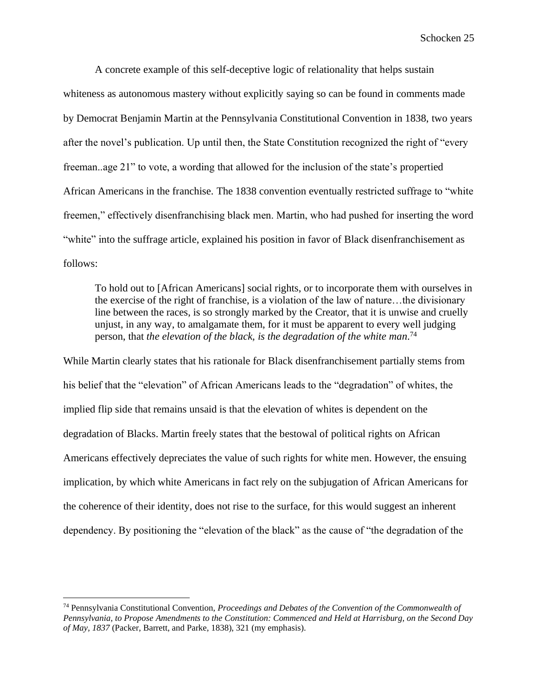A concrete example of this self-deceptive logic of relationality that helps sustain whiteness as autonomous mastery without explicitly saying so can be found in comments made by Democrat Benjamin Martin at the Pennsylvania Constitutional Convention in 1838, two years after the novel's publication. Up until then, the State Constitution recognized the right of "every freeman..age 21" to vote, a wording that allowed for the inclusion of the state's propertied African Americans in the franchise. The 1838 convention eventually restricted suffrage to "white freemen," effectively disenfranchising black men. Martin, who had pushed for inserting the word "white" into the suffrage article, explained his position in favor of Black disenfranchisement as follows:

To hold out to [African Americans] social rights, or to incorporate them with ourselves in the exercise of the right of franchise, is a violation of the law of nature…the divisionary line between the races, is so strongly marked by the Creator, that it is unwise and cruelly unjust, in any way, to amalgamate them, for it must be apparent to every well judging person, that *the elevation of the black, is the degradation of the white man*. 74

While Martin clearly states that his rationale for Black disenfranchisement partially stems from his belief that the "elevation" of African Americans leads to the "degradation" of whites, the implied flip side that remains unsaid is that the elevation of whites is dependent on the degradation of Blacks. Martin freely states that the bestowal of political rights on African Americans effectively depreciates the value of such rights for white men. However, the ensuing implication, by which white Americans in fact rely on the subjugation of African Americans for the coherence of their identity, does not rise to the surface, for this would suggest an inherent dependency. By positioning the "elevation of the black" as the cause of "the degradation of the

<sup>74</sup> Pennsylvania Constitutional Convention, *Proceedings and Debates of the Convention of the Commonwealth of Pennsylvania, to Propose Amendments to the Constitution: Commenced and Held at Harrisburg, on the Second Day of May, 1837* (Packer, Barrett, and Parke, 1838), 321 (my emphasis).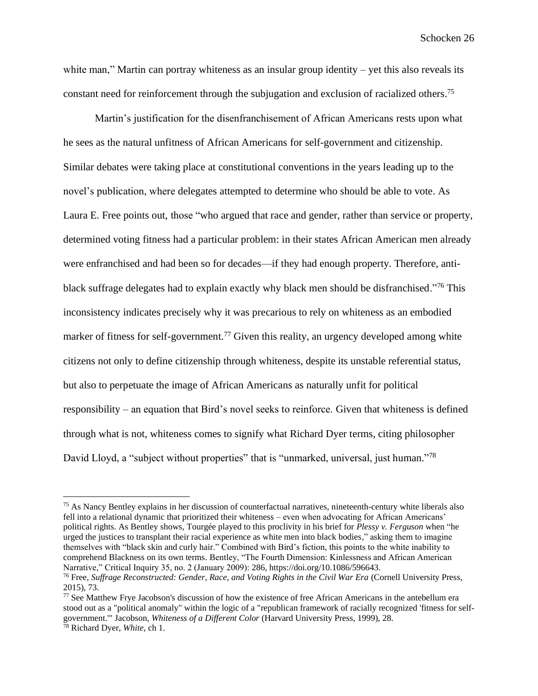white man," Martin can portray whiteness as an insular group identity – yet this also reveals its constant need for reinforcement through the subjugation and exclusion of racialized others.<sup>75</sup>

Martin's justification for the disenfranchisement of African Americans rests upon what he sees as the natural unfitness of African Americans for self-government and citizenship. Similar debates were taking place at constitutional conventions in the years leading up to the novel's publication, where delegates attempted to determine who should be able to vote. As Laura E. Free points out, those "who argued that race and gender, rather than service or property, determined voting fitness had a particular problem: in their states African American men already were enfranchised and had been so for decades—if they had enough property. Therefore, antiblack suffrage delegates had to explain exactly why black men should be disfranchised."<sup>76</sup> This inconsistency indicates precisely why it was precarious to rely on whiteness as an embodied marker of fitness for self-government.<sup>77</sup> Given this reality, an urgency developed among white citizens not only to define citizenship through whiteness, despite its unstable referential status, but also to perpetuate the image of African Americans as naturally unfit for political responsibility – an equation that Bird's novel seeks to reinforce. Given that whiteness is defined through what is not, whiteness comes to signify what Richard Dyer terms, citing philosopher David Lloyd, a "subject without properties" that is "unmarked, universal, just human."<sup>78</sup>

<sup>75</sup> As Nancy Bentley explains in her discussion of counterfactual narratives, nineteenth-century white liberals also fell into a relational dynamic that prioritized their whiteness – even when advocating for African Americans' political rights. As Bentley shows, Tourgée played to this proclivity in his brief for *Plessy v. Ferguson* when "he urged the justices to transplant their racial experience as white men into black bodies," asking them to imagine themselves with "black skin and curly hair." Combined with Bird's fiction, this points to the white inability to comprehend Blackness on its own terms. Bentley, "The Fourth Dimension: Kinlessness and African American Narrative," Critical Inquiry 35, no. 2 (January 2009): 286, https://doi.org/10.1086/596643.

<sup>76</sup> Free, *Suffrage Reconstructed: Gender, Race, and Voting Rights in the Civil War Era* (Cornell University Press, 2015), 73.

 $77$  See Matthew Frye Jacobson's discussion of how the existence of free African Americans in the antebellum era stood out as a "political anomaly" within the logic of a "republican framework of racially recognized 'fitness for selfgovernment.'" Jacobson, *Whiteness of a Different Color* (Harvard University Press, 1999), 28. <sup>78</sup> Richard Dyer, *White*, ch 1.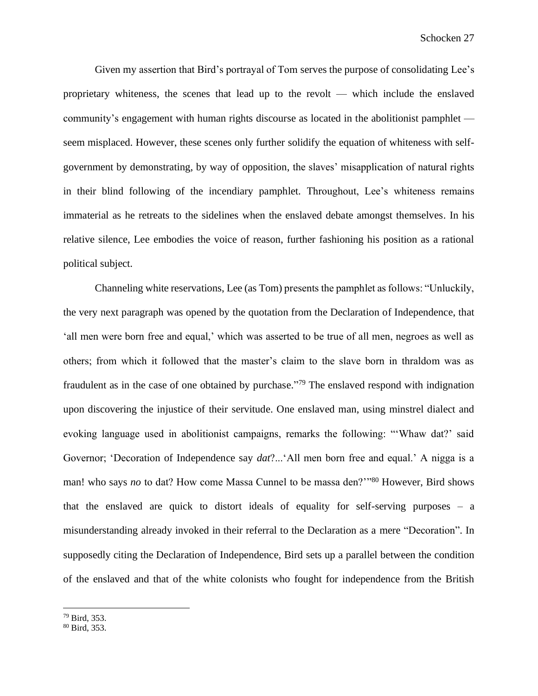Given my assertion that Bird's portrayal of Tom serves the purpose of consolidating Lee's proprietary whiteness, the scenes that lead up to the revolt — which include the enslaved community's engagement with human rights discourse as located in the abolitionist pamphlet seem misplaced. However, these scenes only further solidify the equation of whiteness with selfgovernment by demonstrating, by way of opposition, the slaves' misapplication of natural rights in their blind following of the incendiary pamphlet. Throughout, Lee's whiteness remains immaterial as he retreats to the sidelines when the enslaved debate amongst themselves. In his relative silence, Lee embodies the voice of reason, further fashioning his position as a rational political subject.

Channeling white reservations, Lee (as Tom) presents the pamphlet as follows: "Unluckily, the very next paragraph was opened by the quotation from the Declaration of Independence, that 'all men were born free and equal,' which was asserted to be true of all men, negroes as well as others; from which it followed that the master's claim to the slave born in thraldom was as fraudulent as in the case of one obtained by purchase."<sup>79</sup> The enslaved respond with indignation upon discovering the injustice of their servitude. One enslaved man, using minstrel dialect and evoking language used in abolitionist campaigns, remarks the following: "'Whaw dat?' said Governor; 'Decoration of Independence say *dat*?...'All men born free and equal.' A nigga is a man! who says *no* to dat? How come Massa Cunnel to be massa den?"<sup>80</sup> However, Bird shows that the enslaved are quick to distort ideals of equality for self-serving purposes – a misunderstanding already invoked in their referral to the Declaration as a mere "Decoration". In supposedly citing the Declaration of Independence, Bird sets up a parallel between the condition of the enslaved and that of the white colonists who fought for independence from the British

<sup>79</sup> Bird, 353.

<sup>80</sup> Bird, 353.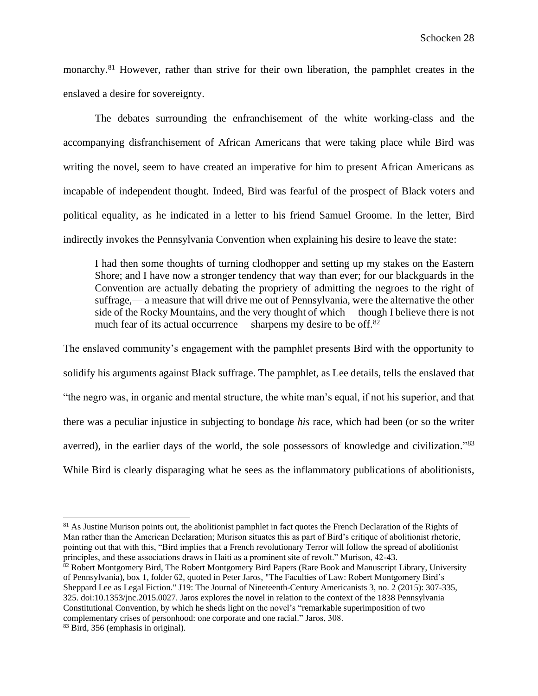monarchy.<sup>81</sup> However, rather than strive for their own liberation, the pamphlet creates in the enslaved a desire for sovereignty.

The debates surrounding the enfranchisement of the white working-class and the accompanying disfranchisement of African Americans that were taking place while Bird was writing the novel, seem to have created an imperative for him to present African Americans as incapable of independent thought. Indeed, Bird was fearful of the prospect of Black voters and political equality, as he indicated in a letter to his friend Samuel Groome. In the letter, Bird indirectly invokes the Pennsylvania Convention when explaining his desire to leave the state:

I had then some thoughts of turning clodhopper and setting up my stakes on the Eastern Shore; and I have now a stronger tendency that way than ever; for our blackguards in the Convention are actually debating the propriety of admitting the negroes to the right of suffrage,— a measure that will drive me out of Pennsylvania, were the alternative the other side of the Rocky Mountains, and the very thought of which— though I believe there is not much fear of its actual occurrence— sharpens my desire to be off.<sup>82</sup>

The enslaved community's engagement with the pamphlet presents Bird with the opportunity to solidify his arguments against Black suffrage. The pamphlet, as Lee details, tells the enslaved that "the negro was, in organic and mental structure, the white man's equal, if not his superior, and that there was a peculiar injustice in subjecting to bondage *his* race, which had been (or so the writer averred), in the earlier days of the world, the sole possessors of knowledge and civilization."<sup>83</sup> While Bird is clearly disparaging what he sees as the inflammatory publications of abolitionists,

<sup>&</sup>lt;sup>81</sup> As Justine Murison points out, the abolitionist pamphlet in fact quotes the French Declaration of the Rights of Man rather than the American Declaration; Murison situates this as part of Bird's critique of abolitionist rhetoric, pointing out that with this, "Bird implies that a French revolutionary Terror will follow the spread of abolitionist principles, and these associations draws in Haiti as a prominent site of revolt." Murison, 42-43.

<sup>82</sup> Robert Montgomery Bird, The Robert Montgomery Bird Papers (Rare Book and Manuscript Library, University of Pennsylvania), box 1, folder 62, quoted in Peter Jaros, "The Faculties of Law: Robert Montgomery Bird's Sheppard Lee as Legal Fiction." J19: The Journal of Nineteenth-Century Americanists 3, no. 2 (2015): 307-335, 325. doi:10.1353/jnc.2015.0027. Jaros explores the novel in relation to the context of the 1838 Pennsylvania Constitutional Convention, by which he sheds light on the novel's "remarkable superimposition of two complementary crises of personhood: one corporate and one racial." Jaros, 308. <sup>83</sup> Bird, 356 (emphasis in original).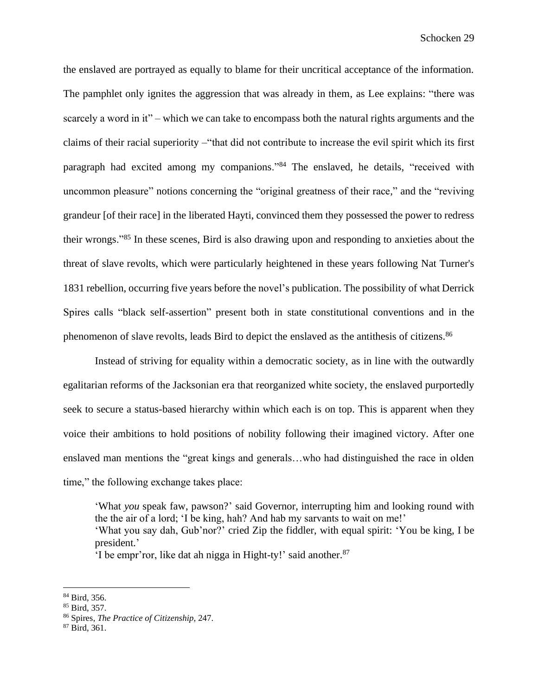the enslaved are portrayed as equally to blame for their uncritical acceptance of the information. The pamphlet only ignites the aggression that was already in them, as Lee explains: "there was scarcely a word in it" – which we can take to encompass both the natural rights arguments and the claims of their racial superiority –"that did not contribute to increase the evil spirit which its first paragraph had excited among my companions."<sup>84</sup> The enslaved, he details, "received with uncommon pleasure" notions concerning the "original greatness of their race," and the "reviving grandeur [of their race] in the liberated Hayti, convinced them they possessed the power to redress their wrongs."<sup>85</sup> In these scenes, Bird is also drawing upon and responding to anxieties about the threat of slave revolts, which were particularly heightened in these years following Nat Turner's 1831 rebellion, occurring five years before the novel's publication. The possibility of what Derrick Spires calls "black self-assertion" present both in state constitutional conventions and in the phenomenon of slave revolts, leads Bird to depict the enslaved as the antithesis of citizens.<sup>86</sup>

Instead of striving for equality within a democratic society, as in line with the outwardly egalitarian reforms of the Jacksonian era that reorganized white society, the enslaved purportedly seek to secure a status-based hierarchy within which each is on top. This is apparent when they voice their ambitions to hold positions of nobility following their imagined victory. After one enslaved man mentions the "great kings and generals…who had distinguished the race in olden time," the following exchange takes place:

'What *you* speak faw, pawson?' said Governor, interrupting him and looking round with the the air of a lord; 'I be king, hah? And hab my sarvants to wait on me!' 'What you say dah, Gub'nor?' cried Zip the fiddler, with equal spirit: 'You be king, I be president.'

'I be empr'ror, like dat ah nigga in Hight-ty!' said another. 87

<sup>84</sup> Bird, 356.

<sup>85</sup> Bird, 357.

<sup>86</sup> Spires, *The Practice of Citizenship,* 247.

<sup>87</sup> Bird, 361.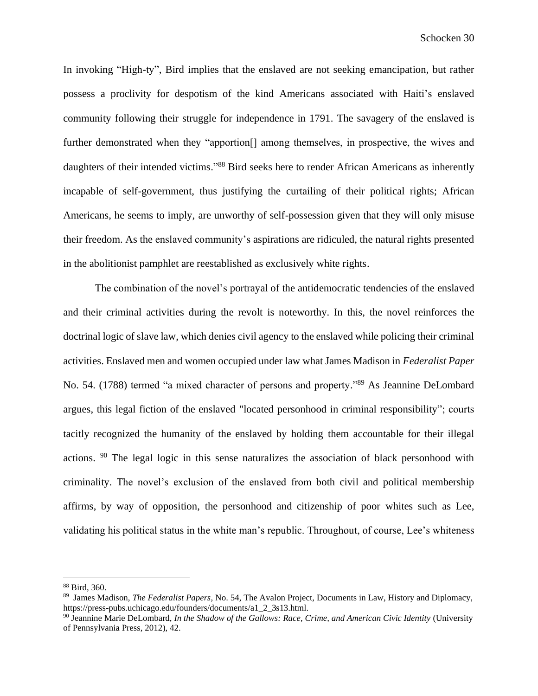In invoking "High-ty", Bird implies that the enslaved are not seeking emancipation, but rather possess a proclivity for despotism of the kind Americans associated with Haiti's enslaved community following their struggle for independence in 1791. The savagery of the enslaved is further demonstrated when they "apportion<sup>[]</sup> among themselves, in prospective, the wives and daughters of their intended victims."<sup>88</sup> Bird seeks here to render African Americans as inherently incapable of self-government, thus justifying the curtailing of their political rights; African Americans, he seems to imply, are unworthy of self-possession given that they will only misuse their freedom. As the enslaved community's aspirations are ridiculed, the natural rights presented in the abolitionist pamphlet are reestablished as exclusively white rights.

The combination of the novel's portrayal of the antidemocratic tendencies of the enslaved and their criminal activities during the revolt is noteworthy. In this, the novel reinforces the doctrinal logic of slave law, which denies civil agency to the enslaved while policing their criminal activities. Enslaved men and women occupied under law what James Madison in *Federalist Paper*  No. 54. (1788) termed "a mixed character of persons and property."<sup>89</sup> As Jeannine DeLombard argues, this legal fiction of the enslaved "located personhood in criminal responsibility"; courts tacitly recognized the humanity of the enslaved by holding them accountable for their illegal actions. <sup>90</sup> The legal logic in this sense naturalizes the association of black personhood with criminality. The novel's exclusion of the enslaved from both civil and political membership affirms, by way of opposition, the personhood and citizenship of poor whites such as Lee, validating his political status in the white man's republic. Throughout, of course, Lee's whiteness

<sup>88</sup> Bird, 360.

<sup>89</sup> James Madison, *The Federalist Papers*, No. 54, The Avalon Project, Documents in Law, History and Diplomacy, https://press-pubs.uchicago.edu/founders/documents/a1\_2\_3s13.html.

<sup>90</sup> Jeannine Marie DeLombard, *In the Shadow of the Gallows: Race, Crime, and American Civic Identity* (University of Pennsylvania Press, 2012), 42.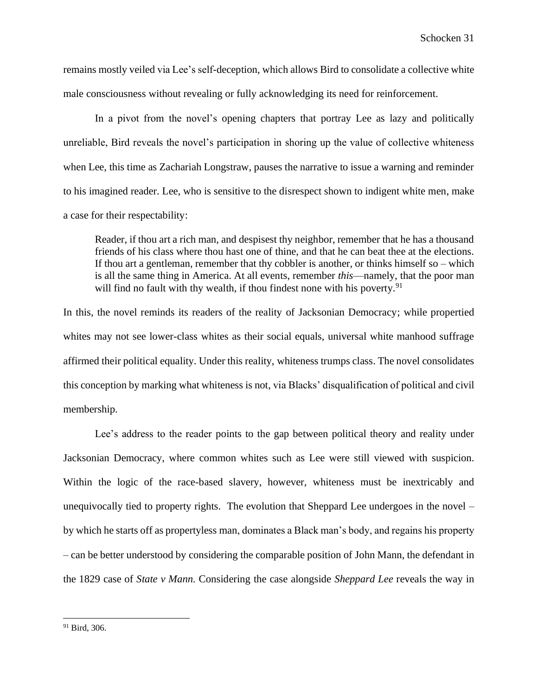remains mostly veiled via Lee's self-deception, which allows Bird to consolidate a collective white male consciousness without revealing or fully acknowledging its need for reinforcement.

In a pivot from the novel's opening chapters that portray Lee as lazy and politically unreliable, Bird reveals the novel's participation in shoring up the value of collective whiteness when Lee, this time as Zachariah Longstraw, pauses the narrative to issue a warning and reminder to his imagined reader. Lee, who is sensitive to the disrespect shown to indigent white men, make a case for their respectability:

Reader, if thou art a rich man, and despisest thy neighbor, remember that he has a thousand friends of his class where thou hast one of thine, and that he can beat thee at the elections. If thou art a gentleman, remember that thy cobbler is another, or thinks himself so  $-$  which is all the same thing in America. At all events, remember *this*—namely, that the poor man will find no fault with thy wealth, if thou findest none with his poverty.  $91$ 

In this, the novel reminds its readers of the reality of Jacksonian Democracy; while propertied whites may not see lower-class whites as their social equals, universal white manhood suffrage affirmed their political equality. Under this reality, whiteness trumps class. The novel consolidates this conception by marking what whiteness is not, via Blacks' disqualification of political and civil membership.

Lee's address to the reader points to the gap between political theory and reality under Jacksonian Democracy, where common whites such as Lee were still viewed with suspicion. Within the logic of the race-based slavery, however, whiteness must be inextricably and unequivocally tied to property rights. The evolution that Sheppard Lee undergoes in the novel – by which he starts off as propertyless man, dominates a Black man's body, and regains his property – can be better understood by considering the comparable position of John Mann, the defendant in the 1829 case of *State v Mann.* Considering the case alongside *Sheppard Lee* reveals the way in

 $91$  Bird, 306.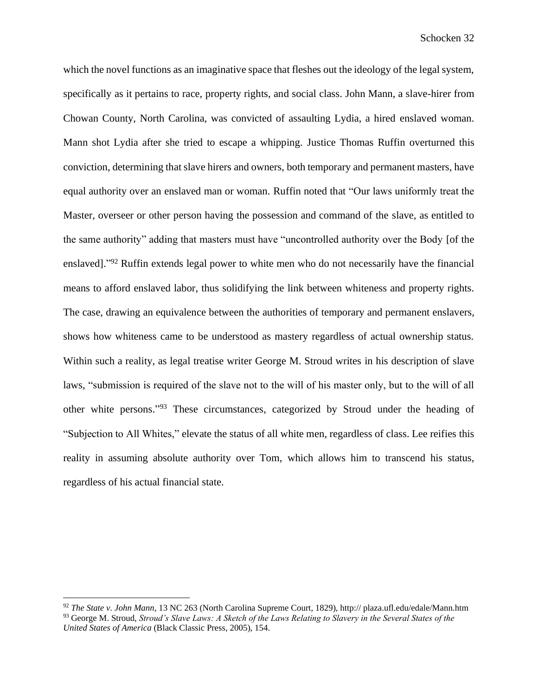which the novel functions as an imaginative space that fleshes out the ideology of the legal system, specifically as it pertains to race, property rights, and social class. John Mann, a slave-hirer from Chowan County, North Carolina, was convicted of assaulting Lydia, a hired enslaved woman. Mann shot Lydia after she tried to escape a whipping. Justice Thomas Ruffin overturned this conviction, determining that slave hirers and owners, both temporary and permanent masters, have equal authority over an enslaved man or woman. Ruffin noted that "Our laws uniformly treat the Master, overseer or other person having the possession and command of the slave, as entitled to the same authority" adding that masters must have "uncontrolled authority over the Body [of the enslaved]."<sup>92</sup> Ruffin extends legal power to white men who do not necessarily have the financial means to afford enslaved labor, thus solidifying the link between whiteness and property rights. The case, drawing an equivalence between the authorities of temporary and permanent enslavers, shows how whiteness came to be understood as mastery regardless of actual ownership status. Within such a reality, as legal treatise writer George M. Stroud writes in his description of slave laws, "submission is required of the slave not to the will of his master only, but to the will of all other white persons."<sup>93</sup> These circumstances, categorized by Stroud under the heading of "Subjection to All Whites," elevate the status of all white men, regardless of class. Lee reifies this reality in assuming absolute authority over Tom, which allows him to transcend his status, regardless of his actual financial state.

<sup>92</sup> *The State v. John Mann*, 13 NC 263 (North Carolina Supreme Court, 1829), http:// plaza.ufl.edu/edale/Mann.htm <sup>93</sup> George M. Stroud, *Stroud's Slave Laws: A Sketch of the Laws Relating to Slavery in the Several States of the United States of America* (Black Classic Press, 2005), 154.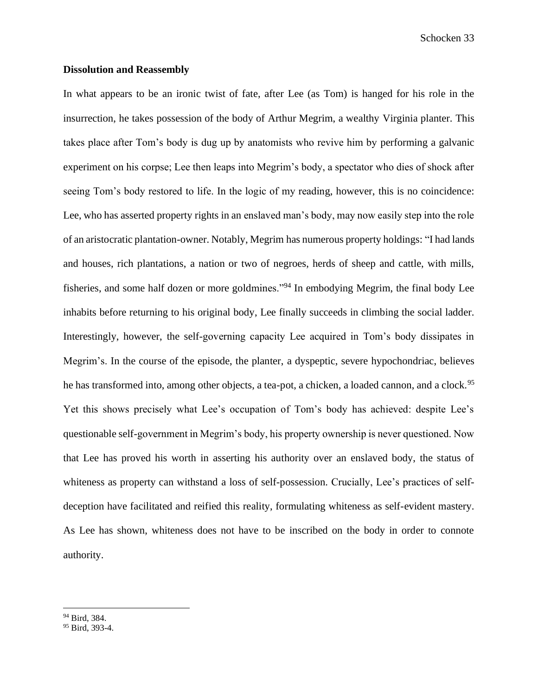# **Dissolution and Reassembly**

In what appears to be an ironic twist of fate, after Lee (as Tom) is hanged for his role in the insurrection, he takes possession of the body of Arthur Megrim, a wealthy Virginia planter. This takes place after Tom's body is dug up by anatomists who revive him by performing a galvanic experiment on his corpse; Lee then leaps into Megrim's body, a spectator who dies of shock after seeing Tom's body restored to life. In the logic of my reading, however, this is no coincidence: Lee, who has asserted property rights in an enslaved man's body, may now easily step into the role of an aristocratic plantation-owner. Notably, Megrim has numerous property holdings: "I had lands and houses, rich plantations, a nation or two of negroes, herds of sheep and cattle, with mills, fisheries, and some half dozen or more goldmines."<sup>94</sup> In embodying Megrim, the final body Lee inhabits before returning to his original body, Lee finally succeeds in climbing the social ladder. Interestingly, however, the self-governing capacity Lee acquired in Tom's body dissipates in Megrim's. In the course of the episode, the planter, a dyspeptic, severe hypochondriac, believes he has transformed into, among other objects, a tea-pot, a chicken, a loaded cannon, and a clock.<sup>95</sup> Yet this shows precisely what Lee's occupation of Tom's body has achieved: despite Lee's questionable self-government in Megrim's body, his property ownership is never questioned. Now that Lee has proved his worth in asserting his authority over an enslaved body, the status of whiteness as property can withstand a loss of self-possession. Crucially, Lee's practices of selfdeception have facilitated and reified this reality, formulating whiteness as self-evident mastery. As Lee has shown, whiteness does not have to be inscribed on the body in order to connote authority.

<sup>94</sup> Bird, 384.

<sup>&</sup>lt;sup>95</sup> Bird, 393-4.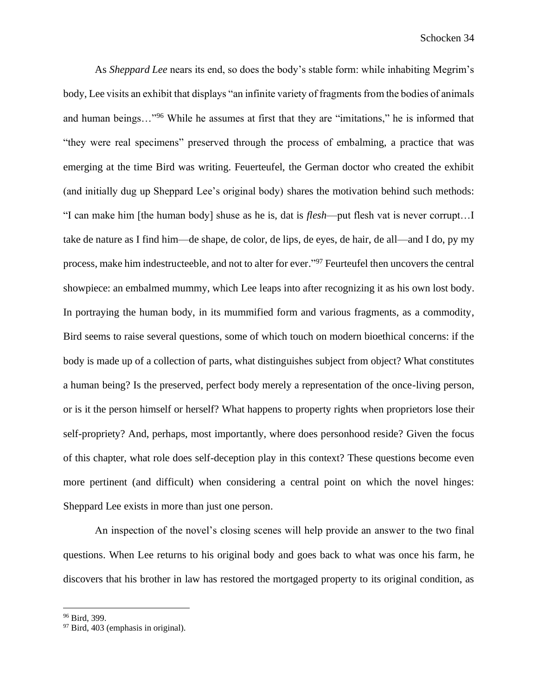As *Sheppard Lee* nears its end, so does the body's stable form: while inhabiting Megrim's body, Lee visits an exhibit that displays "an infinite variety of fragments from the bodies of animals and human beings…"<sup>96</sup> While he assumes at first that they are "imitations," he is informed that "they were real specimens" preserved through the process of embalming, a practice that was emerging at the time Bird was writing. Feuerteufel, the German doctor who created the exhibit (and initially dug up Sheppard Lee's original body) shares the motivation behind such methods: "I can make him [the human body] shuse as he is, dat is *flesh*—put flesh vat is never corrupt…I take de nature as I find him—de shape, de color, de lips, de eyes, de hair, de all—and I do, py my process, make him indestructeeble, and not to alter for ever."<sup>97</sup> Feurteufel then uncovers the central showpiece: an embalmed mummy, which Lee leaps into after recognizing it as his own lost body. In portraying the human body, in its mummified form and various fragments, as a commodity, Bird seems to raise several questions, some of which touch on modern bioethical concerns: if the body is made up of a collection of parts, what distinguishes subject from object? What constitutes a human being? Is the preserved, perfect body merely a representation of the once-living person, or is it the person himself or herself? What happens to property rights when proprietors lose their self-propriety? And, perhaps, most importantly, where does personhood reside? Given the focus of this chapter, what role does self-deception play in this context? These questions become even more pertinent (and difficult) when considering a central point on which the novel hinges: Sheppard Lee exists in more than just one person.

An inspection of the novel's closing scenes will help provide an answer to the two final questions. When Lee returns to his original body and goes back to what was once his farm, he discovers that his brother in law has restored the mortgaged property to its original condition, as

<sup>96</sup> Bird, 399.

<sup>&</sup>lt;sup>97</sup> Bird, 403 (emphasis in original).